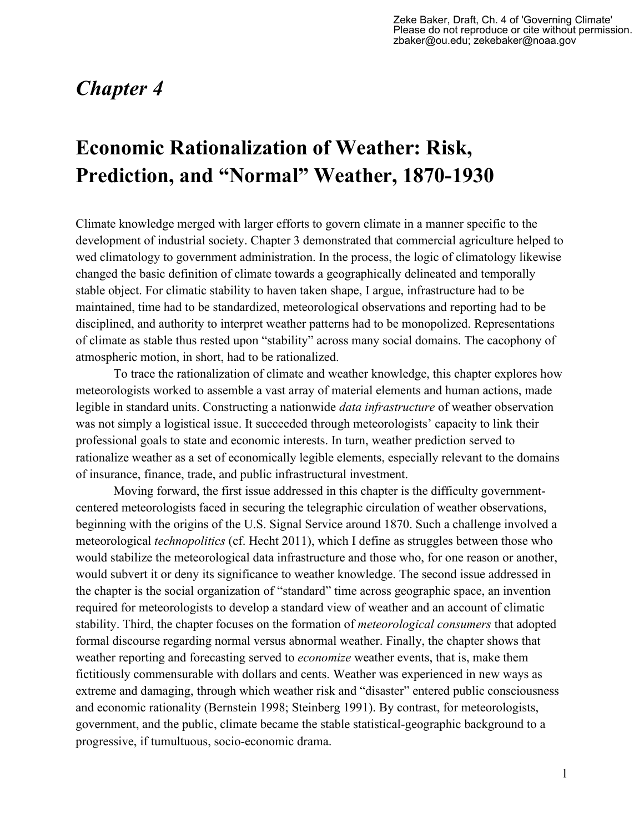## *Chapter 4*

# **Economic Rationalization of Weather: Risk, Prediction, and "Normal" Weather, 1870-1930**

Climate knowledge merged with larger efforts to govern climate in a manner specific to the development of industrial society. Chapter 3 demonstrated that commercial agriculture helped to wed climatology to government administration. In the process, the logic of climatology likewise changed the basic definition of climate towards a geographically delineated and temporally stable object. For climatic stability to haven taken shape, I argue, infrastructure had to be maintained, time had to be standardized, meteorological observations and reporting had to be disciplined, and authority to interpret weather patterns had to be monopolized. Representations of climate as stable thus rested upon "stability" across many social domains. The cacophony of atmospheric motion, in short, had to be rationalized.

To trace the rationalization of climate and weather knowledge, this chapter explores how meteorologists worked to assemble a vast array of material elements and human actions, made legible in standard units. Constructing a nationwide *data infrastructure* of weather observation was not simply a logistical issue. It succeeded through meteorologists' capacity to link their professional goals to state and economic interests. In turn, weather prediction served to rationalize weather as a set of economically legible elements, especially relevant to the domains of insurance, finance, trade, and public infrastructural investment.

Moving forward, the first issue addressed in this chapter is the difficulty governmentcentered meteorologists faced in securing the telegraphic circulation of weather observations, beginning with the origins of the U.S. Signal Service around 1870. Such a challenge involved a meteorological *technopolitics* (cf. Hecht 2011), which I define as struggles between those who would stabilize the meteorological data infrastructure and those who, for one reason or another, would subvert it or deny its significance to weather knowledge. The second issue addressed in the chapter is the social organization of "standard" time across geographic space, an invention required for meteorologists to develop a standard view of weather and an account of climatic stability. Third, the chapter focuses on the formation of *meteorological consumers* that adopted formal discourse regarding normal versus abnormal weather. Finally, the chapter shows that weather reporting and forecasting served to *economize* weather events, that is, make them fictitiously commensurable with dollars and cents. Weather was experienced in new ways as extreme and damaging, through which weather risk and "disaster" entered public consciousness and economic rationality (Bernstein 1998; Steinberg 1991). By contrast, for meteorologists, government, and the public, climate became the stable statistical-geographic background to a progressive, if tumultuous, socio-economic drama.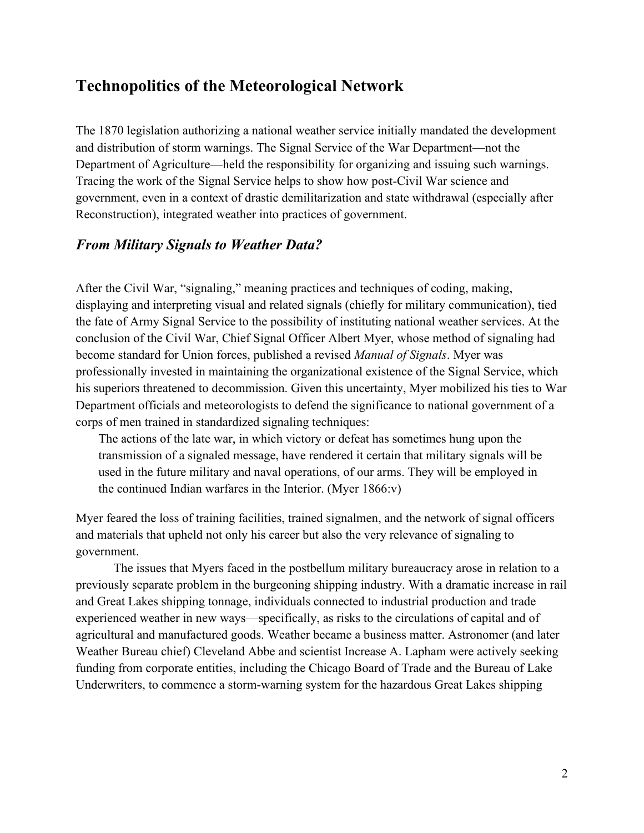### **Technopolitics of the Meteorological Network**

The 1870 legislation authorizing a national weather service initially mandated the development and distribution of storm warnings. The Signal Service of the War Department—not the Department of Agriculture—held the responsibility for organizing and issuing such warnings. Tracing the work of the Signal Service helps to show how post-Civil War science and government, even in a context of drastic demilitarization and state withdrawal (especially after Reconstruction), integrated weather into practices of government.

#### *From Military Signals to Weather Data?*

After the Civil War, "signaling," meaning practices and techniques of coding, making, displaying and interpreting visual and related signals (chiefly for military communication), tied the fate of Army Signal Service to the possibility of instituting national weather services. At the conclusion of the Civil War, Chief Signal Officer Albert Myer, whose method of signaling had become standard for Union forces, published a revised *Manual of Signals*. Myer was professionally invested in maintaining the organizational existence of the Signal Service, which his superiors threatened to decommission. Given this uncertainty, Myer mobilized his ties to War Department officials and meteorologists to defend the significance to national government of a corps of men trained in standardized signaling techniques:

The actions of the late war, in which victory or defeat has sometimes hung upon the transmission of a signaled message, have rendered it certain that military signals will be used in the future military and naval operations, of our arms. They will be employed in the continued Indian warfares in the Interior. (Myer 1866:v)

Myer feared the loss of training facilities, trained signalmen, and the network of signal officers and materials that upheld not only his career but also the very relevance of signaling to government.

The issues that Myers faced in the postbellum military bureaucracy arose in relation to a previously separate problem in the burgeoning shipping industry. With a dramatic increase in rail and Great Lakes shipping tonnage, individuals connected to industrial production and trade experienced weather in new ways—specifically, as risks to the circulations of capital and of agricultural and manufactured goods. Weather became a business matter. Astronomer (and later Weather Bureau chief) Cleveland Abbe and scientist Increase A. Lapham were actively seeking funding from corporate entities, including the Chicago Board of Trade and the Bureau of Lake Underwriters, to commence a storm-warning system for the hazardous Great Lakes shipping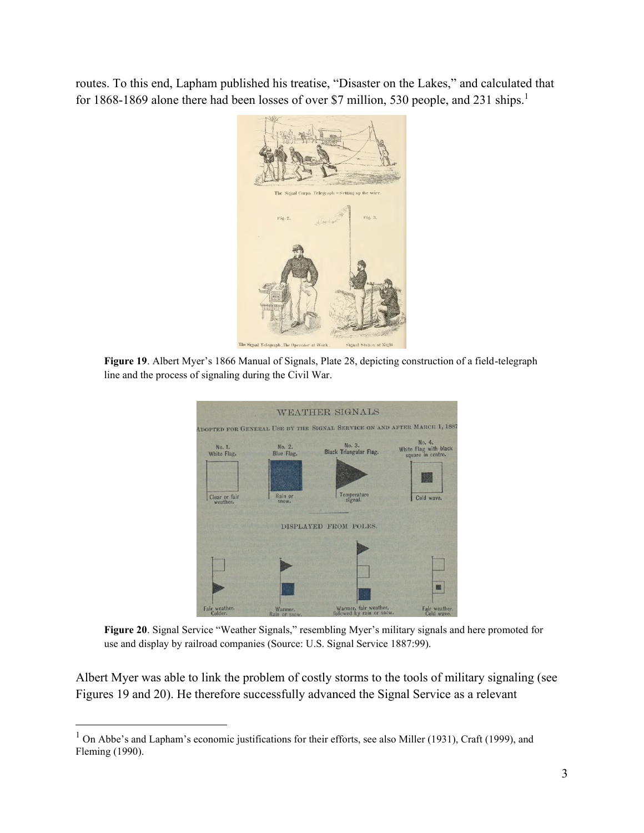routes. To this end, Lapham published his treatise, "Disaster on the Lakes," and calculated that for 1868-1869 alone there had been losses of over \$7 million, 530 people, and 231 ships.<sup>1</sup>



**Figure 19**. Albert Myer's 1866 Manual of Signals, Plate 28, depicting construction of a field-telegraph line and the process of signaling during the Civil War.

|                           |                              | <b>WEATHER SIGNALS</b>                                                   |                                                      |  |  |  |  |
|---------------------------|------------------------------|--------------------------------------------------------------------------|------------------------------------------------------|--|--|--|--|
|                           |                              | ADOPTED FOR GENERAL USE BY THE SIGNAL SERVICE ON AND AFTER MARCH 1, 1887 |                                                      |  |  |  |  |
| No. 1.<br>White Flag.     | No. 2.<br>Blue Flag.         | No. 3.<br>Black Triangular Flag.                                         | No. 4.<br>White Flag with black<br>square in centre. |  |  |  |  |
| Clear or fair<br>weather. | Rain or<br>500W <sub>n</sub> | Temperature<br>signal.                                                   | Cold wave.                                           |  |  |  |  |
|                           |                              | DISPLAYED FROM POLES.                                                    |                                                      |  |  |  |  |
|                           |                              |                                                                          |                                                      |  |  |  |  |
|                           |                              |                                                                          |                                                      |  |  |  |  |
|                           |                              |                                                                          | я                                                    |  |  |  |  |
| Fair weather.<br>Colder.  | Warmer.<br>Rain or snow.     | Warmer, fair weather,<br>followed by rain or snow.                       | Fair weather.<br>Cold wave.                          |  |  |  |  |

**Figure 20**. Signal Service "Weather Signals," resembling Myer's military signals and here promoted for use and display by railroad companies (Source: U.S. Signal Service 1887:99).

Albert Myer was able to link the problem of costly storms to the tools of military signaling (see Figures 19 and 20). He therefore successfully advanced the Signal Service as a relevant

<sup>&</sup>lt;sup>1</sup> On Abbe's and Lapham's economic justifications for their efforts, see also Miller (1931), Craft (1999), and Fleming (1990).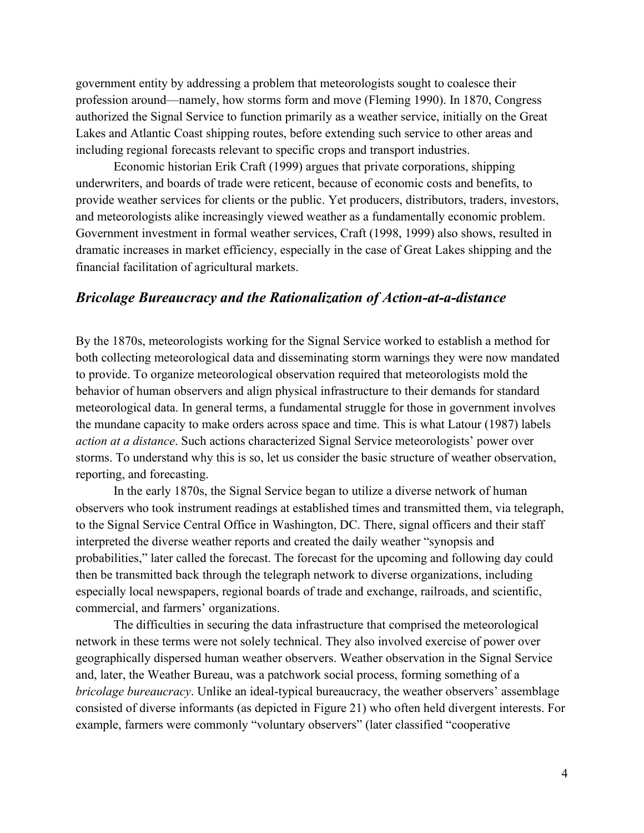government entity by addressing a problem that meteorologists sought to coalesce their profession around—namely, how storms form and move (Fleming 1990). In 1870, Congress authorized the Signal Service to function primarily as a weather service, initially on the Great Lakes and Atlantic Coast shipping routes, before extending such service to other areas and including regional forecasts relevant to specific crops and transport industries.

Economic historian Erik Craft (1999) argues that private corporations, shipping underwriters, and boards of trade were reticent, because of economic costs and benefits, to provide weather services for clients or the public. Yet producers, distributors, traders, investors, and meteorologists alike increasingly viewed weather as a fundamentally economic problem. Government investment in formal weather services, Craft (1998, 1999) also shows, resulted in dramatic increases in market efficiency, especially in the case of Great Lakes shipping and the financial facilitation of agricultural markets.

#### *Bricolage Bureaucracy and the Rationalization of Action-at-a-distance*

By the 1870s, meteorologists working for the Signal Service worked to establish a method for both collecting meteorological data and disseminating storm warnings they were now mandated to provide. To organize meteorological observation required that meteorologists mold the behavior of human observers and align physical infrastructure to their demands for standard meteorological data. In general terms, a fundamental struggle for those in government involves the mundane capacity to make orders across space and time. This is what Latour (1987) labels *action at a distance*. Such actions characterized Signal Service meteorologists' power over storms. To understand why this is so, let us consider the basic structure of weather observation, reporting, and forecasting.

In the early 1870s, the Signal Service began to utilize a diverse network of human observers who took instrument readings at established times and transmitted them, via telegraph, to the Signal Service Central Office in Washington, DC. There, signal officers and their staff interpreted the diverse weather reports and created the daily weather "synopsis and probabilities," later called the forecast. The forecast for the upcoming and following day could then be transmitted back through the telegraph network to diverse organizations, including especially local newspapers, regional boards of trade and exchange, railroads, and scientific, commercial, and farmers' organizations.

The difficulties in securing the data infrastructure that comprised the meteorological network in these terms were not solely technical. They also involved exercise of power over geographically dispersed human weather observers. Weather observation in the Signal Service and, later, the Weather Bureau, was a patchwork social process, forming something of a *bricolage bureaucracy*. Unlike an ideal-typical bureaucracy, the weather observers' assemblage consisted of diverse informants (as depicted in Figure 21) who often held divergent interests. For example, farmers were commonly "voluntary observers" (later classified "cooperative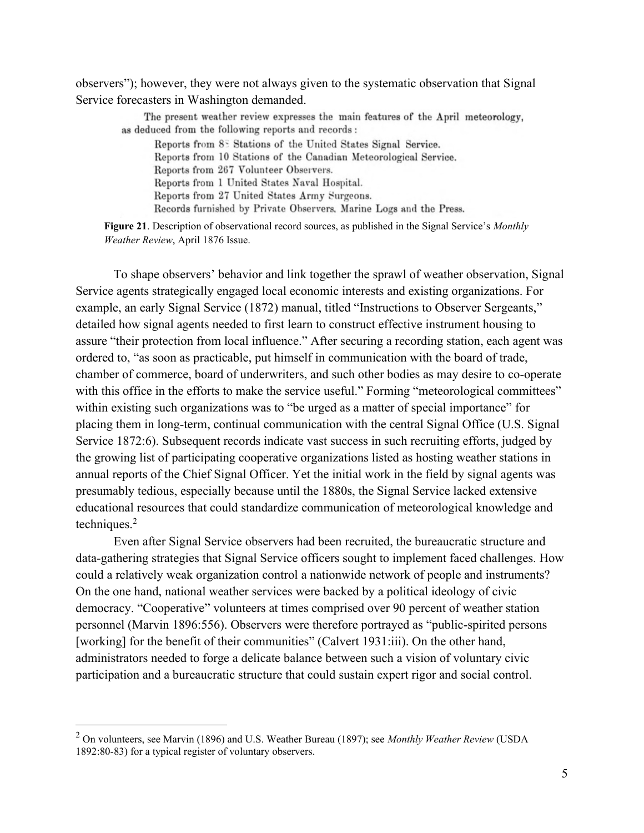observers"); however, they were not always given to the systematic observation that Signal Service forecasters in Washington demanded.

The present weather review expresses the main features of the April meteorology, as deduced from the following reports and records:

Reports from 85 Stations of the United States Signal Service. Reports from 10 Stations of the Canadian Meteorological Service. Reports from 267 Volunteer Observers. Reports from 1 United States Naval Hospital. Reports from 27 United States Army Surgeons. Records furnished by Private Observers, Marine Logs and the Press.

**Figure 21**. Description of observational record sources, as published in the Signal Service's *Monthly Weather Review*, April 1876 Issue.

To shape observers' behavior and link together the sprawl of weather observation, Signal Service agents strategically engaged local economic interests and existing organizations. For example, an early Signal Service (1872) manual, titled "Instructions to Observer Sergeants," detailed how signal agents needed to first learn to construct effective instrument housing to assure "their protection from local influence." After securing a recording station, each agent was ordered to, "as soon as practicable, put himself in communication with the board of trade, chamber of commerce, board of underwriters, and such other bodies as may desire to co-operate with this office in the efforts to make the service useful." Forming "meteorological committees" within existing such organizations was to "be urged as a matter of special importance" for placing them in long-term, continual communication with the central Signal Office (U.S. Signal Service 1872:6). Subsequent records indicate vast success in such recruiting efforts, judged by the growing list of participating cooperative organizations listed as hosting weather stations in annual reports of the Chief Signal Officer. Yet the initial work in the field by signal agents was presumably tedious, especially because until the 1880s, the Signal Service lacked extensive educational resources that could standardize communication of meteorological knowledge and techniques.<sup>2</sup>

Even after Signal Service observers had been recruited, the bureaucratic structure and data-gathering strategies that Signal Service officers sought to implement faced challenges. How could a relatively weak organization control a nationwide network of people and instruments? On the one hand, national weather services were backed by a political ideology of civic democracy. "Cooperative" volunteers at times comprised over 90 percent of weather station personnel (Marvin 1896:556). Observers were therefore portrayed as "public-spirited persons [working] for the benefit of their communities" (Calvert 1931:iii). On the other hand, administrators needed to forge a delicate balance between such a vision of voluntary civic participation and a bureaucratic structure that could sustain expert rigor and social control.

<sup>2</sup> On volunteers, see Marvin (1896) and U.S. Weather Bureau (1897); see *Monthly Weather Review* (USDA 1892:80-83) for a typical register of voluntary observers.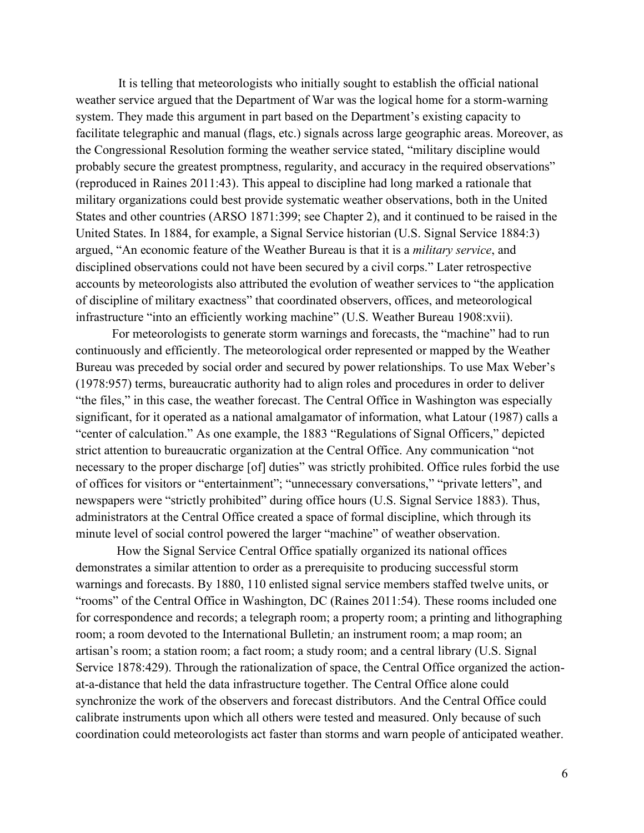It is telling that meteorologists who initially sought to establish the official national weather service argued that the Department of War was the logical home for a storm-warning system. They made this argument in part based on the Department's existing capacity to facilitate telegraphic and manual (flags, etc.) signals across large geographic areas. Moreover, as the Congressional Resolution forming the weather service stated, "military discipline would probably secure the greatest promptness, regularity, and accuracy in the required observations" (reproduced in Raines 2011:43). This appeal to discipline had long marked a rationale that military organizations could best provide systematic weather observations, both in the United States and other countries (ARSO 1871:399; see Chapter 2), and it continued to be raised in the United States. In 1884, for example, a Signal Service historian (U.S. Signal Service 1884:3) argued, "An economic feature of the Weather Bureau is that it is a *military service*, and disciplined observations could not have been secured by a civil corps." Later retrospective accounts by meteorologists also attributed the evolution of weather services to "the application of discipline of military exactness" that coordinated observers, offices, and meteorological infrastructure "into an efficiently working machine" (U.S. Weather Bureau 1908:xvii).

For meteorologists to generate storm warnings and forecasts, the "machine" had to run continuously and efficiently. The meteorological order represented or mapped by the Weather Bureau was preceded by social order and secured by power relationships. To use Max Weber's (1978:957) terms, bureaucratic authority had to align roles and procedures in order to deliver "the files," in this case, the weather forecast. The Central Office in Washington was especially significant, for it operated as a national amalgamator of information, what Latour (1987) calls a "center of calculation." As one example, the 1883 "Regulations of Signal Officers," depicted strict attention to bureaucratic organization at the Central Office. Any communication "not necessary to the proper discharge [of] duties" was strictly prohibited. Office rules forbid the use of offices for visitors or "entertainment"; "unnecessary conversations," "private letters", and newspapers were "strictly prohibited" during office hours (U.S. Signal Service 1883). Thus, administrators at the Central Office created a space of formal discipline, which through its minute level of social control powered the larger "machine" of weather observation.

How the Signal Service Central Office spatially organized its national offices demonstrates a similar attention to order as a prerequisite to producing successful storm warnings and forecasts. By 1880, 110 enlisted signal service members staffed twelve units, or "rooms" of the Central Office in Washington, DC (Raines 2011:54). These rooms included one for correspondence and records; a telegraph room; a property room; a printing and lithographing room; a room devoted to the International Bulletin*;* an instrument room; a map room; an artisan's room; a station room; a fact room; a study room; and a central library (U.S. Signal Service 1878:429). Through the rationalization of space, the Central Office organized the actionat-a-distance that held the data infrastructure together. The Central Office alone could synchronize the work of the observers and forecast distributors. And the Central Office could calibrate instruments upon which all others were tested and measured. Only because of such coordination could meteorologists act faster than storms and warn people of anticipated weather.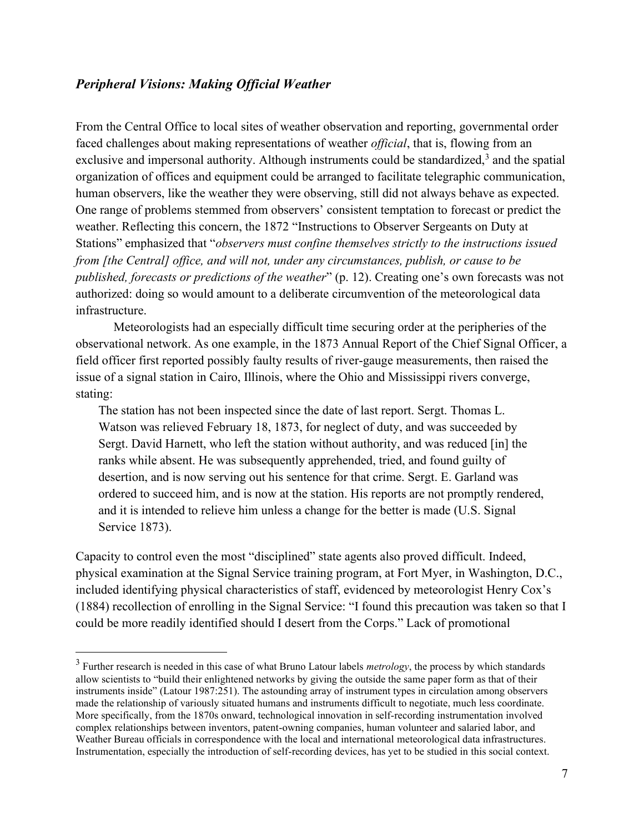#### *Peripheral Visions: Making Official Weather*

From the Central Office to local sites of weather observation and reporting, governmental order faced challenges about making representations of weather *official*, that is, flowing from an exclusive and impersonal authority. Although instruments could be standardized, $3$  and the spatial organization of offices and equipment could be arranged to facilitate telegraphic communication, human observers, like the weather they were observing, still did not always behave as expected. One range of problems stemmed from observers' consistent temptation to forecast or predict the weather. Reflecting this concern, the 1872 "Instructions to Observer Sergeants on Duty at Stations" emphasized that "*observers must confine themselves strictly to the instructions issued from [the Central] office, and will not, under any circumstances, publish, or cause to be published, forecasts or predictions of the weather*" (p. 12). Creating one's own forecasts was not authorized: doing so would amount to a deliberate circumvention of the meteorological data infrastructure.

Meteorologists had an especially difficult time securing order at the peripheries of the observational network. As one example, in the 1873 Annual Report of the Chief Signal Officer, a field officer first reported possibly faulty results of river-gauge measurements, then raised the issue of a signal station in Cairo, Illinois, where the Ohio and Mississippi rivers converge, stating:

The station has not been inspected since the date of last report. Sergt. Thomas L. Watson was relieved February 18, 1873, for neglect of duty, and was succeeded by Sergt. David Harnett, who left the station without authority, and was reduced [in] the ranks while absent. He was subsequently apprehended, tried, and found guilty of desertion, and is now serving out his sentence for that crime. Sergt. E. Garland was ordered to succeed him, and is now at the station. His reports are not promptly rendered, and it is intended to relieve him unless a change for the better is made (U.S. Signal Service 1873).

Capacity to control even the most "disciplined" state agents also proved difficult. Indeed, physical examination at the Signal Service training program, at Fort Myer, in Washington, D.C., included identifying physical characteristics of staff, evidenced by meteorologist Henry Cox's (1884) recollection of enrolling in the Signal Service: "I found this precaution was taken so that I could be more readily identified should I desert from the Corps." Lack of promotional

<sup>3</sup> Further research is needed in this case of what Bruno Latour labels *metrology*, the process by which standards allow scientists to "build their enlightened networks by giving the outside the same paper form as that of their instruments inside" (Latour 1987:251). The astounding array of instrument types in circulation among observers made the relationship of variously situated humans and instruments difficult to negotiate, much less coordinate. More specifically, from the 1870s onward, technological innovation in self-recording instrumentation involved complex relationships between inventors, patent-owning companies, human volunteer and salaried labor, and Weather Bureau officials in correspondence with the local and international meteorological data infrastructures. Instrumentation, especially the introduction of self-recording devices, has yet to be studied in this social context.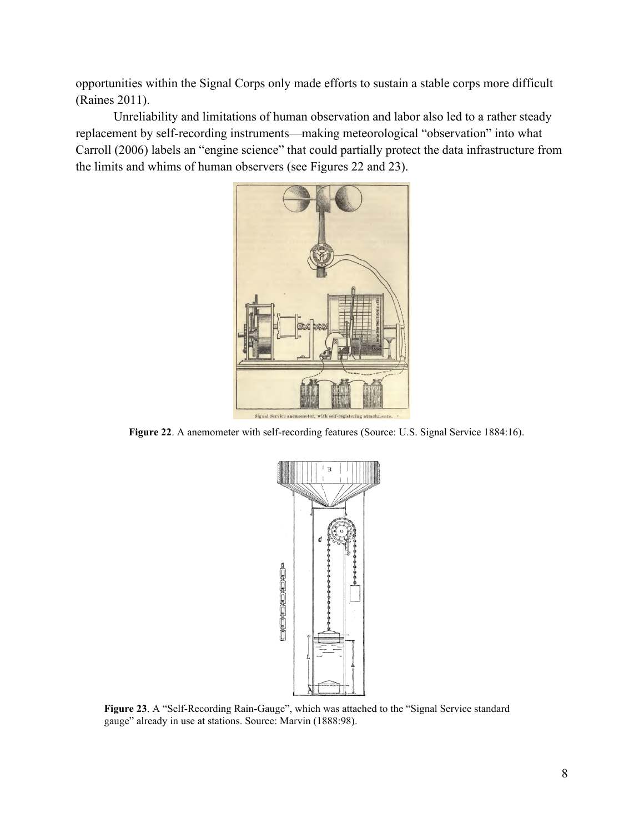opportunities within the Signal Corps only made efforts to sustain a stable corps more difficult (Raines 2011).

Unreliability and limitations of human observation and labor also led to a rather steady replacement by self-recording instruments—making meteorological "observation" into what Carroll (2006) labels an "engine science" that could partially protect the data infrastructure from the limits and whims of human observers (see Figures 22 and 23).



**Figure 22**. A anemometer with self-recording features (Source: U.S. Signal Service 1884:16).



**Figure 23**. A "Self-Recording Rain-Gauge", which was attached to the "Signal Service standard gauge" already in use at stations. Source: Marvin (1888:98).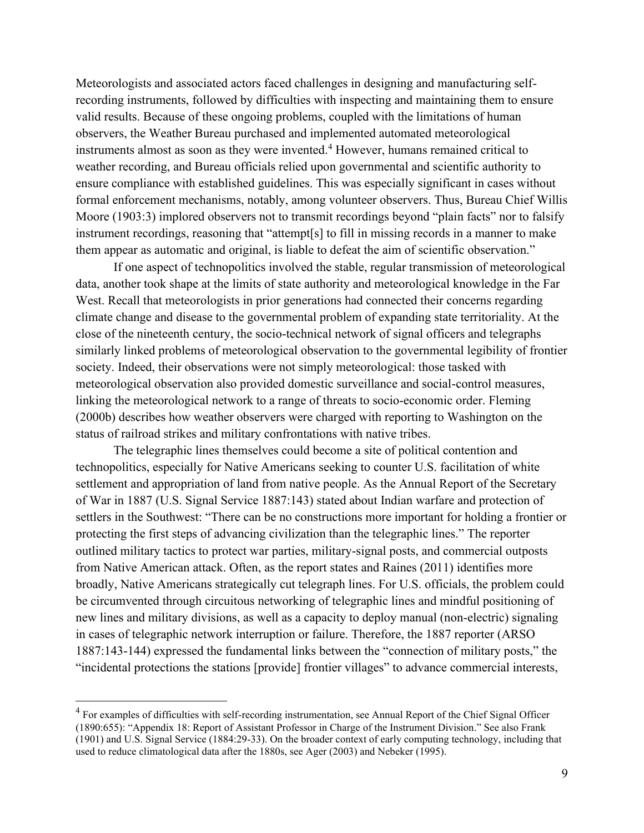Meteorologists and associated actors faced challenges in designing and manufacturing selfrecording instruments, followed by difficulties with inspecting and maintaining them to ensure valid results. Because of these ongoing problems, coupled with the limitations of human observers, the Weather Bureau purchased and implemented automated meteorological instruments almost as soon as they were invented.<sup>4</sup> However, humans remained critical to weather recording, and Bureau officials relied upon governmental and scientific authority to ensure compliance with established guidelines. This was especially significant in cases without formal enforcement mechanisms, notably, among volunteer observers. Thus, Bureau Chief Willis Moore (1903:3) implored observers not to transmit recordings beyond "plain facts" nor to falsify instrument recordings, reasoning that "attempt[s] to fill in missing records in a manner to make them appear as automatic and original, is liable to defeat the aim of scientific observation."

If one aspect of technopolitics involved the stable, regular transmission of meteorological data, another took shape at the limits of state authority and meteorological knowledge in the Far West. Recall that meteorologists in prior generations had connected their concerns regarding climate change and disease to the governmental problem of expanding state territoriality. At the close of the nineteenth century, the socio-technical network of signal officers and telegraphs similarly linked problems of meteorological observation to the governmental legibility of frontier society. Indeed, their observations were not simply meteorological: those tasked with meteorological observation also provided domestic surveillance and social-control measures, linking the meteorological network to a range of threats to socio-economic order. Fleming (2000b) describes how weather observers were charged with reporting to Washington on the status of railroad strikes and military confrontations with native tribes.

The telegraphic lines themselves could become a site of political contention and technopolitics, especially for Native Americans seeking to counter U.S. facilitation of white settlement and appropriation of land from native people. As the Annual Report of the Secretary of War in 1887 (U.S. Signal Service 1887:143) stated about Indian warfare and protection of settlers in the Southwest: "There can be no constructions more important for holding a frontier or protecting the first steps of advancing civilization than the telegraphic lines." The reporter outlined military tactics to protect war parties, military-signal posts, and commercial outposts from Native American attack. Often, as the report states and Raines (2011) identifies more broadly, Native Americans strategically cut telegraph lines. For U.S. officials, the problem could be circumvented through circuitous networking of telegraphic lines and mindful positioning of new lines and military divisions, as well as a capacity to deploy manual (non-electric) signaling in cases of telegraphic network interruption or failure. Therefore, the 1887 reporter (ARSO 1887:143-144) expressed the fundamental links between the "connection of military posts," the "incidental protections the stations [provide] frontier villages" to advance commercial interests,

<sup>&</sup>lt;sup>4</sup> For examples of difficulties with self-recording instrumentation, see Annual Report of the Chief Signal Officer (1890:655): "Appendix 18: Report of Assistant Professor in Charge of the Instrument Division." See also Frank (1901) and U.S. Signal Service (1884:29-33). On the broader context of early computing technology, including that used to reduce climatological data after the 1880s, see Ager (2003) and Nebeker (1995).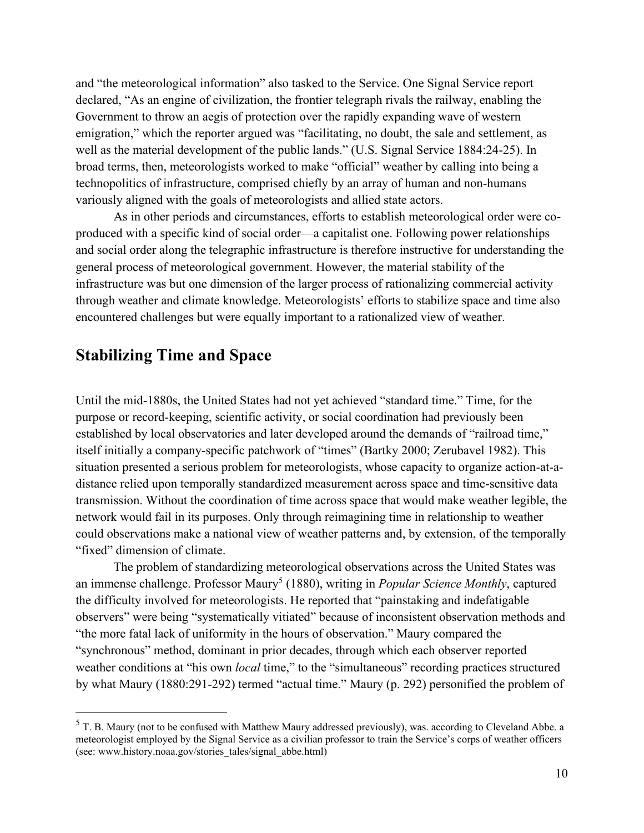and "the meteorological information" also tasked to the Service. One Signal Service report declared, "As an engine of civilization, the frontier telegraph rivals the railway, enabling the Government to throw an aegis of protection over the rapidly expanding wave of western emigration," which the reporter argued was "facilitating, no doubt, the sale and settlement, as well as the material development of the public lands." (U.S. Signal Service 1884:24-25). In broad terms, then, meteorologists worked to make "official" weather by calling into being a technopolitics of infrastructure, comprised chiefly by an array of human and non-humans variously aligned with the goals of meteorologists and allied state actors.

As in other periods and circumstances, efforts to establish meteorological order were coproduced with a specific kind of social order—a capitalist one. Following power relationships and social order along the telegraphic infrastructure is therefore instructive for understanding the general process of meteorological government. However, the material stability of the infrastructure was but one dimension of the larger process of rationalizing commercial activity through weather and climate knowledge. Meteorologists' efforts to stabilize space and time also encountered challenges but were equally important to a rationalized view of weather.

#### **Stabilizing Time and Space**

Until the mid-1880s, the United States had not yet achieved "standard time." Time, for the purpose or record-keeping, scientific activity, or social coordination had previously been established by local observatories and later developed around the demands of "railroad time," itself initially a company-specific patchwork of "times" (Bartky 2000; Zerubavel 1982). This situation presented a serious problem for meteorologists, whose capacity to organize action-at-adistance relied upon temporally standardized measurement across space and time-sensitive data transmission. Without the coordination of time across space that would make weather legible, the network would fail in its purposes. Only through reimagining time in relationship to weather could observations make a national view of weather patterns and, by extension, of the temporally "fixed" dimension of climate.

The problem of standardizing meteorological observations across the United States was an immense challenge. Professor Maury<sup>5</sup> (1880), writing in *Popular Science Monthly*, captured the difficulty involved for meteorologists. He reported that "painstaking and indefatigable observers" were being "systematically vitiated" because of inconsistent observation methods and "the more fatal lack of uniformity in the hours of observation." Maury compared the "synchronous" method, dominant in prior decades, through which each observer reported weather conditions at "his own *local* time," to the "simultaneous" recording practices structured by what Maury (1880:291-292) termed "actual time." Maury (p. 292) personified the problem of

<sup>5</sup> T. B. Maury (not to be confused with Matthew Maury addressed previously), was. according to Cleveland Abbe. a meteorologist employed by the Signal Service as a civilian professor to train the Service's corps of weather officers (see: www.history.noaa.gov/stories\_tales/signal\_abbe.html)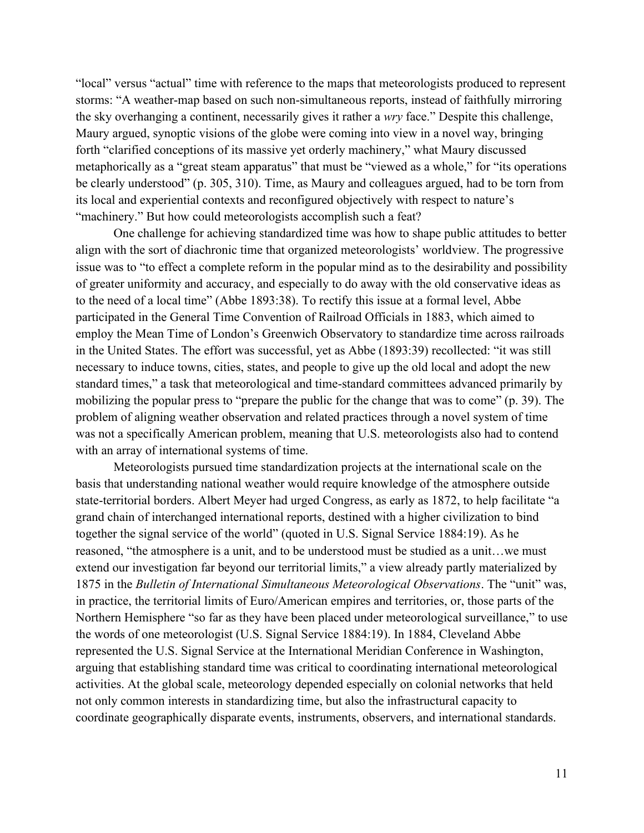"local" versus "actual" time with reference to the maps that meteorologists produced to represent storms: "A weather-map based on such non-simultaneous reports, instead of faithfully mirroring the sky overhanging a continent, necessarily gives it rather a *wry* face." Despite this challenge, Maury argued, synoptic visions of the globe were coming into view in a novel way, bringing forth "clarified conceptions of its massive yet orderly machinery," what Maury discussed metaphorically as a "great steam apparatus" that must be "viewed as a whole," for "its operations be clearly understood" (p. 305, 310). Time, as Maury and colleagues argued, had to be torn from its local and experiential contexts and reconfigured objectively with respect to nature's "machinery." But how could meteorologists accomplish such a feat?

One challenge for achieving standardized time was how to shape public attitudes to better align with the sort of diachronic time that organized meteorologists' worldview. The progressive issue was to "to effect a complete reform in the popular mind as to the desirability and possibility of greater uniformity and accuracy, and especially to do away with the old conservative ideas as to the need of a local time" (Abbe 1893:38). To rectify this issue at a formal level, Abbe participated in the General Time Convention of Railroad Officials in 1883, which aimed to employ the Mean Time of London's Greenwich Observatory to standardize time across railroads in the United States. The effort was successful, yet as Abbe (1893:39) recollected: "it was still necessary to induce towns, cities, states, and people to give up the old local and adopt the new standard times," a task that meteorological and time-standard committees advanced primarily by mobilizing the popular press to "prepare the public for the change that was to come" (p. 39). The problem of aligning weather observation and related practices through a novel system of time was not a specifically American problem, meaning that U.S. meteorologists also had to contend with an array of international systems of time.

Meteorologists pursued time standardization projects at the international scale on the basis that understanding national weather would require knowledge of the atmosphere outside state-territorial borders. Albert Meyer had urged Congress, as early as 1872, to help facilitate "a grand chain of interchanged international reports, destined with a higher civilization to bind together the signal service of the world" (quoted in U.S. Signal Service 1884:19). As he reasoned, "the atmosphere is a unit, and to be understood must be studied as a unit…we must extend our investigation far beyond our territorial limits," a view already partly materialized by 1875 in the *Bulletin of International Simultaneous Meteorological Observations*. The "unit" was, in practice, the territorial limits of Euro/American empires and territories, or, those parts of the Northern Hemisphere "so far as they have been placed under meteorological surveillance," to use the words of one meteorologist (U.S. Signal Service 1884:19). In 1884, Cleveland Abbe represented the U.S. Signal Service at the International Meridian Conference in Washington, arguing that establishing standard time was critical to coordinating international meteorological activities. At the global scale, meteorology depended especially on colonial networks that held not only common interests in standardizing time, but also the infrastructural capacity to coordinate geographically disparate events, instruments, observers, and international standards.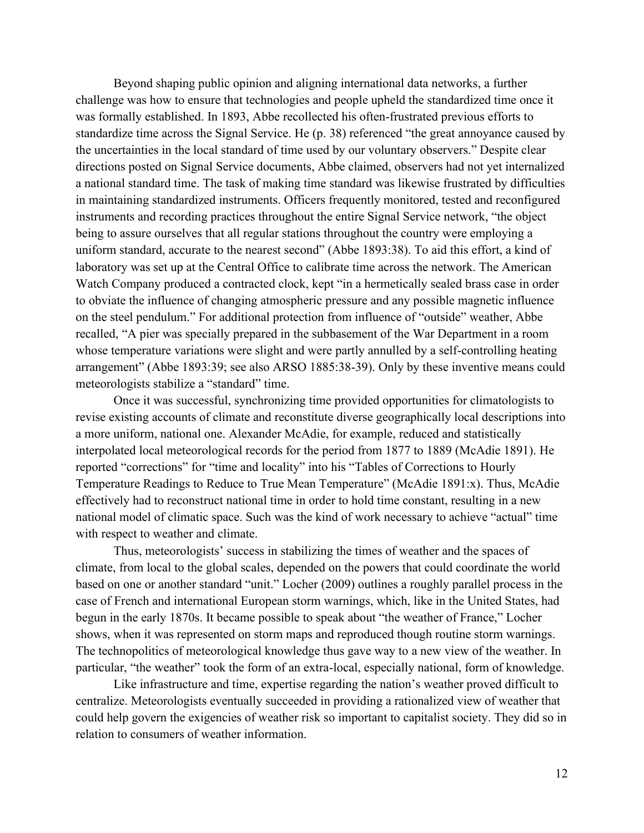Beyond shaping public opinion and aligning international data networks, a further challenge was how to ensure that technologies and people upheld the standardized time once it was formally established. In 1893, Abbe recollected his often-frustrated previous efforts to standardize time across the Signal Service. He (p. 38) referenced "the great annoyance caused by the uncertainties in the local standard of time used by our voluntary observers." Despite clear directions posted on Signal Service documents, Abbe claimed, observers had not yet internalized a national standard time. The task of making time standard was likewise frustrated by difficulties in maintaining standardized instruments. Officers frequently monitored, tested and reconfigured instruments and recording practices throughout the entire Signal Service network, "the object being to assure ourselves that all regular stations throughout the country were employing a uniform standard, accurate to the nearest second" (Abbe 1893:38). To aid this effort, a kind of laboratory was set up at the Central Office to calibrate time across the network. The American Watch Company produced a contracted clock, kept "in a hermetically sealed brass case in order to obviate the influence of changing atmospheric pressure and any possible magnetic influence on the steel pendulum." For additional protection from influence of "outside" weather, Abbe recalled, "A pier was specially prepared in the subbasement of the War Department in a room whose temperature variations were slight and were partly annulled by a self-controlling heating arrangement" (Abbe 1893:39; see also ARSO 1885:38-39). Only by these inventive means could meteorologists stabilize a "standard" time.

Once it was successful, synchronizing time provided opportunities for climatologists to revise existing accounts of climate and reconstitute diverse geographically local descriptions into a more uniform, national one. Alexander McAdie, for example, reduced and statistically interpolated local meteorological records for the period from 1877 to 1889 (McAdie 1891). He reported "corrections" for "time and locality" into his "Tables of Corrections to Hourly Temperature Readings to Reduce to True Mean Temperature" (McAdie 1891:x). Thus, McAdie effectively had to reconstruct national time in order to hold time constant, resulting in a new national model of climatic space. Such was the kind of work necessary to achieve "actual" time with respect to weather and climate.

Thus, meteorologists' success in stabilizing the times of weather and the spaces of climate, from local to the global scales, depended on the powers that could coordinate the world based on one or another standard "unit." Locher (2009) outlines a roughly parallel process in the case of French and international European storm warnings, which, like in the United States, had begun in the early 1870s. It became possible to speak about "the weather of France," Locher shows, when it was represented on storm maps and reproduced though routine storm warnings. The technopolitics of meteorological knowledge thus gave way to a new view of the weather. In particular, "the weather" took the form of an extra-local, especially national, form of knowledge.

Like infrastructure and time, expertise regarding the nation's weather proved difficult to centralize. Meteorologists eventually succeeded in providing a rationalized view of weather that could help govern the exigencies of weather risk so important to capitalist society. They did so in relation to consumers of weather information.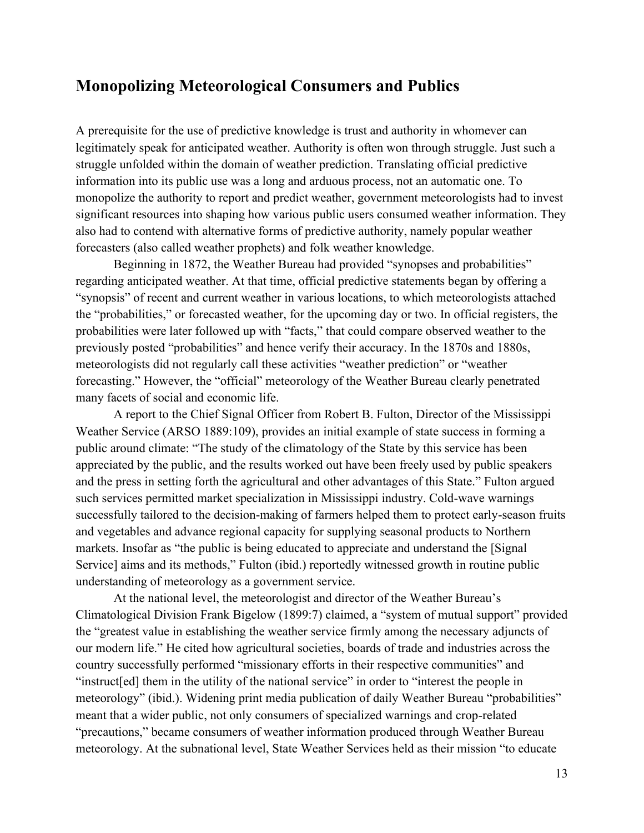#### **Monopolizing Meteorological Consumers and Publics**

A prerequisite for the use of predictive knowledge is trust and authority in whomever can legitimately speak for anticipated weather. Authority is often won through struggle. Just such a struggle unfolded within the domain of weather prediction. Translating official predictive information into its public use was a long and arduous process, not an automatic one. To monopolize the authority to report and predict weather, government meteorologists had to invest significant resources into shaping how various public users consumed weather information. They also had to contend with alternative forms of predictive authority, namely popular weather forecasters (also called weather prophets) and folk weather knowledge.

Beginning in 1872, the Weather Bureau had provided "synopses and probabilities" regarding anticipated weather. At that time, official predictive statements began by offering a "synopsis" of recent and current weather in various locations, to which meteorologists attached the "probabilities," or forecasted weather, for the upcoming day or two. In official registers, the probabilities were later followed up with "facts," that could compare observed weather to the previously posted "probabilities" and hence verify their accuracy. In the 1870s and 1880s, meteorologists did not regularly call these activities "weather prediction" or "weather forecasting." However, the "official" meteorology of the Weather Bureau clearly penetrated many facets of social and economic life.

A report to the Chief Signal Officer from Robert B. Fulton, Director of the Mississippi Weather Service (ARSO 1889:109), provides an initial example of state success in forming a public around climate: "The study of the climatology of the State by this service has been appreciated by the public, and the results worked out have been freely used by public speakers and the press in setting forth the agricultural and other advantages of this State." Fulton argued such services permitted market specialization in Mississippi industry. Cold-wave warnings successfully tailored to the decision-making of farmers helped them to protect early-season fruits and vegetables and advance regional capacity for supplying seasonal products to Northern markets. Insofar as "the public is being educated to appreciate and understand the [Signal Service] aims and its methods," Fulton (ibid.) reportedly witnessed growth in routine public understanding of meteorology as a government service.

At the national level, the meteorologist and director of the Weather Bureau's Climatological Division Frank Bigelow (1899:7) claimed, a "system of mutual support" provided the "greatest value in establishing the weather service firmly among the necessary adjuncts of our modern life." He cited how agricultural societies, boards of trade and industries across the country successfully performed "missionary efforts in their respective communities" and "instruct[ed] them in the utility of the national service" in order to "interest the people in meteorology" (ibid.). Widening print media publication of daily Weather Bureau "probabilities" meant that a wider public, not only consumers of specialized warnings and crop-related "precautions," became consumers of weather information produced through Weather Bureau meteorology. At the subnational level, State Weather Services held as their mission "to educate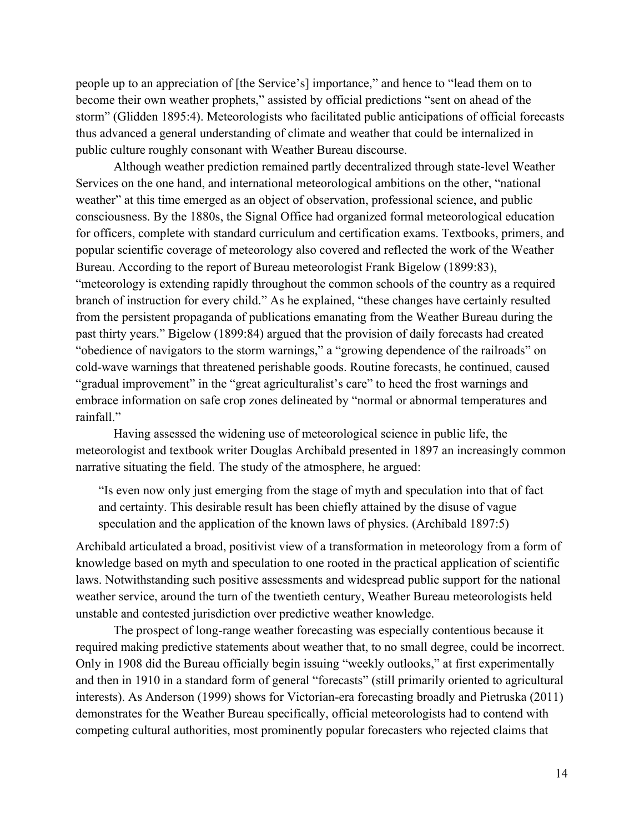people up to an appreciation of [the Service's] importance," and hence to "lead them on to become their own weather prophets," assisted by official predictions "sent on ahead of the storm" (Glidden 1895:4). Meteorologists who facilitated public anticipations of official forecasts thus advanced a general understanding of climate and weather that could be internalized in public culture roughly consonant with Weather Bureau discourse.

Although weather prediction remained partly decentralized through state-level Weather Services on the one hand, and international meteorological ambitions on the other, "national weather" at this time emerged as an object of observation, professional science, and public consciousness. By the 1880s, the Signal Office had organized formal meteorological education for officers, complete with standard curriculum and certification exams. Textbooks, primers, and popular scientific coverage of meteorology also covered and reflected the work of the Weather Bureau. According to the report of Bureau meteorologist Frank Bigelow (1899:83), "meteorology is extending rapidly throughout the common schools of the country as a required branch of instruction for every child." As he explained, "these changes have certainly resulted from the persistent propaganda of publications emanating from the Weather Bureau during the past thirty years." Bigelow (1899:84) argued that the provision of daily forecasts had created "obedience of navigators to the storm warnings," a "growing dependence of the railroads" on cold-wave warnings that threatened perishable goods. Routine forecasts, he continued, caused "gradual improvement" in the "great agriculturalist's care" to heed the frost warnings and embrace information on safe crop zones delineated by "normal or abnormal temperatures and rainfall."

Having assessed the widening use of meteorological science in public life, the meteorologist and textbook writer Douglas Archibald presented in 1897 an increasingly common narrative situating the field. The study of the atmosphere, he argued:

"Is even now only just emerging from the stage of myth and speculation into that of fact and certainty. This desirable result has been chiefly attained by the disuse of vague speculation and the application of the known laws of physics. (Archibald 1897:5)

Archibald articulated a broad, positivist view of a transformation in meteorology from a form of knowledge based on myth and speculation to one rooted in the practical application of scientific laws. Notwithstanding such positive assessments and widespread public support for the national weather service, around the turn of the twentieth century, Weather Bureau meteorologists held unstable and contested jurisdiction over predictive weather knowledge.

The prospect of long-range weather forecasting was especially contentious because it required making predictive statements about weather that, to no small degree, could be incorrect. Only in 1908 did the Bureau officially begin issuing "weekly outlooks," at first experimentally and then in 1910 in a standard form of general "forecasts" (still primarily oriented to agricultural interests). As Anderson (1999) shows for Victorian-era forecasting broadly and Pietruska (2011) demonstrates for the Weather Bureau specifically, official meteorologists had to contend with competing cultural authorities, most prominently popular forecasters who rejected claims that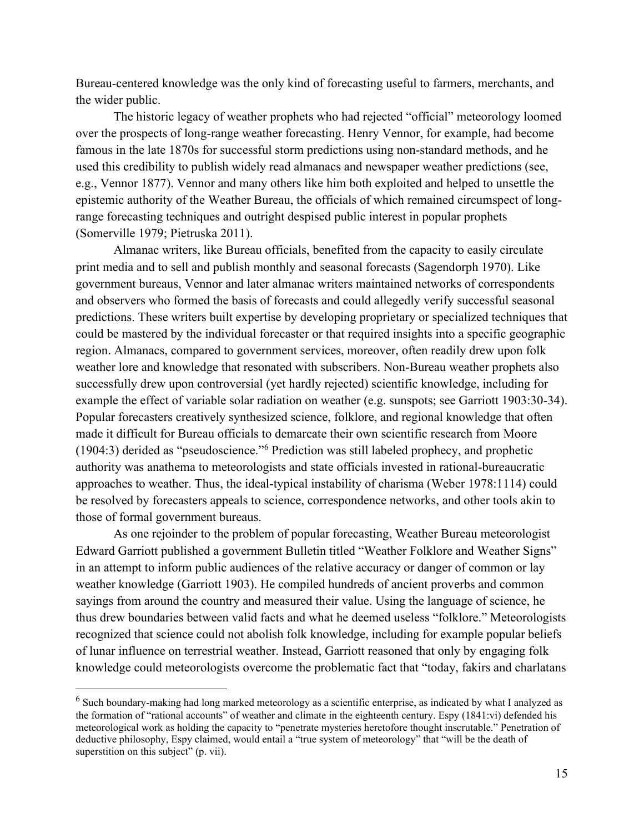Bureau-centered knowledge was the only kind of forecasting useful to farmers, merchants, and the wider public.

The historic legacy of weather prophets who had rejected "official" meteorology loomed over the prospects of long-range weather forecasting. Henry Vennor, for example, had become famous in the late 1870s for successful storm predictions using non-standard methods, and he used this credibility to publish widely read almanacs and newspaper weather predictions (see, e.g., Vennor 1877). Vennor and many others like him both exploited and helped to unsettle the epistemic authority of the Weather Bureau, the officials of which remained circumspect of longrange forecasting techniques and outright despised public interest in popular prophets (Somerville 1979; Pietruska 2011).

Almanac writers, like Bureau officials, benefited from the capacity to easily circulate print media and to sell and publish monthly and seasonal forecasts (Sagendorph 1970). Like government bureaus, Vennor and later almanac writers maintained networks of correspondents and observers who formed the basis of forecasts and could allegedly verify successful seasonal predictions. These writers built expertise by developing proprietary or specialized techniques that could be mastered by the individual forecaster or that required insights into a specific geographic region. Almanacs, compared to government services, moreover, often readily drew upon folk weather lore and knowledge that resonated with subscribers. Non-Bureau weather prophets also successfully drew upon controversial (yet hardly rejected) scientific knowledge, including for example the effect of variable solar radiation on weather (e.g. sunspots; see Garriott 1903:30-34). Popular forecasters creatively synthesized science, folklore, and regional knowledge that often made it difficult for Bureau officials to demarcate their own scientific research from Moore (1904:3) derided as "pseudoscience."<sup>6</sup> Prediction was still labeled prophecy, and prophetic authority was anathema to meteorologists and state officials invested in rational-bureaucratic approaches to weather. Thus, the ideal-typical instability of charisma (Weber 1978:1114) could be resolved by forecasters appeals to science, correspondence networks, and other tools akin to those of formal government bureaus.

As one rejoinder to the problem of popular forecasting, Weather Bureau meteorologist Edward Garriott published a government Bulletin titled "Weather Folklore and Weather Signs" in an attempt to inform public audiences of the relative accuracy or danger of common or lay weather knowledge (Garriott 1903). He compiled hundreds of ancient proverbs and common sayings from around the country and measured their value. Using the language of science, he thus drew boundaries between valid facts and what he deemed useless "folklore." Meteorologists recognized that science could not abolish folk knowledge, including for example popular beliefs of lunar influence on terrestrial weather. Instead, Garriott reasoned that only by engaging folk knowledge could meteorologists overcome the problematic fact that "today, fakirs and charlatans

 $^6$  Such boundary-making had long marked meteorology as a scientific enterprise, as indicated by what I analyzed as the formation of "rational accounts" of weather and climate in the eighteenth century. Espy (1841:vi) defended his meteorological work as holding the capacity to "penetrate mysteries heretofore thought inscrutable." Penetration of deductive philosophy, Espy claimed, would entail a "true system of meteorology" that "will be the death of superstition on this subject" (p. vii).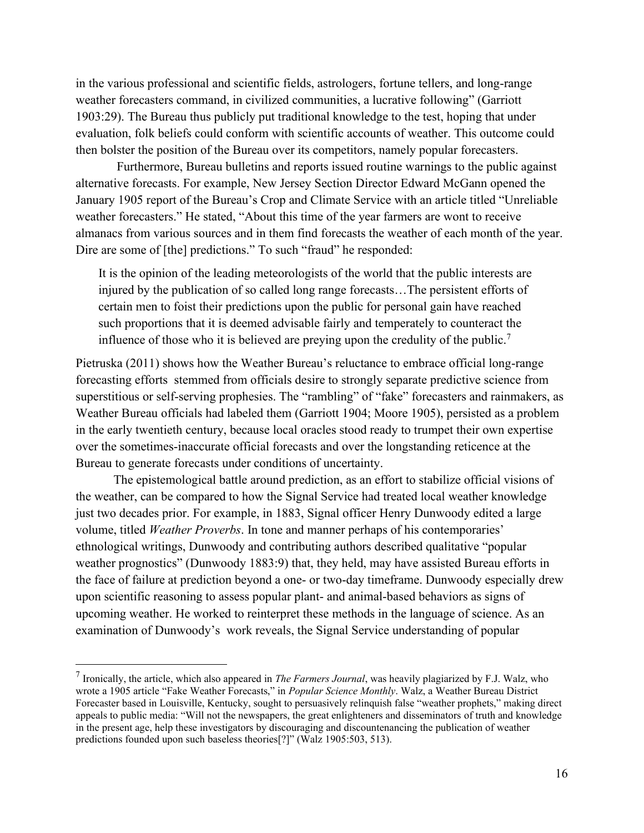in the various professional and scientific fields, astrologers, fortune tellers, and long-range weather forecasters command, in civilized communities, a lucrative following" (Garriott 1903:29). The Bureau thus publicly put traditional knowledge to the test, hoping that under evaluation, folk beliefs could conform with scientific accounts of weather. This outcome could then bolster the position of the Bureau over its competitors, namely popular forecasters.

Furthermore, Bureau bulletins and reports issued routine warnings to the public against alternative forecasts. For example, New Jersey Section Director Edward McGann opened the January 1905 report of the Bureau's Crop and Climate Service with an article titled "Unreliable weather forecasters." He stated, "About this time of the year farmers are wont to receive almanacs from various sources and in them find forecasts the weather of each month of the year. Dire are some of [the] predictions." To such "fraud" he responded:

It is the opinion of the leading meteorologists of the world that the public interests are injured by the publication of so called long range forecasts…The persistent efforts of certain men to foist their predictions upon the public for personal gain have reached such proportions that it is deemed advisable fairly and temperately to counteract the influence of those who it is believed are preying upon the credulity of the public.<sup>7</sup>

Pietruska (2011) shows how the Weather Bureau's reluctance to embrace official long-range forecasting efforts stemmed from officials desire to strongly separate predictive science from superstitious or self-serving prophesies. The "rambling" of "fake" forecasters and rainmakers, as Weather Bureau officials had labeled them (Garriott 1904; Moore 1905), persisted as a problem in the early twentieth century, because local oracles stood ready to trumpet their own expertise over the sometimes-inaccurate official forecasts and over the longstanding reticence at the Bureau to generate forecasts under conditions of uncertainty.

The epistemological battle around prediction, as an effort to stabilize official visions of the weather, can be compared to how the Signal Service had treated local weather knowledge just two decades prior. For example, in 1883, Signal officer Henry Dunwoody edited a large volume, titled *Weather Proverbs*. In tone and manner perhaps of his contemporaries' ethnological writings, Dunwoody and contributing authors described qualitative "popular weather prognostics" (Dunwoody 1883:9) that, they held, may have assisted Bureau efforts in the face of failure at prediction beyond a one- or two-day timeframe. Dunwoody especially drew upon scientific reasoning to assess popular plant- and animal-based behaviors as signs of upcoming weather. He worked to reinterpret these methods in the language of science. As an examination of Dunwoody's work reveals, the Signal Service understanding of popular

<sup>7</sup> Ironically, the article, which also appeared in *The Farmers Journal*, was heavily plagiarized by F.J. Walz, who wrote a 1905 article "Fake Weather Forecasts," in *Popular Science Monthly*. Walz, a Weather Bureau District Forecaster based in Louisville, Kentucky, sought to persuasively relinquish false "weather prophets," making direct appeals to public media: "Will not the newspapers, the great enlighteners and disseminators of truth and knowledge in the present age, help these investigators by discouraging and discountenancing the publication of weather predictions founded upon such baseless theories[?]" (Walz 1905:503, 513).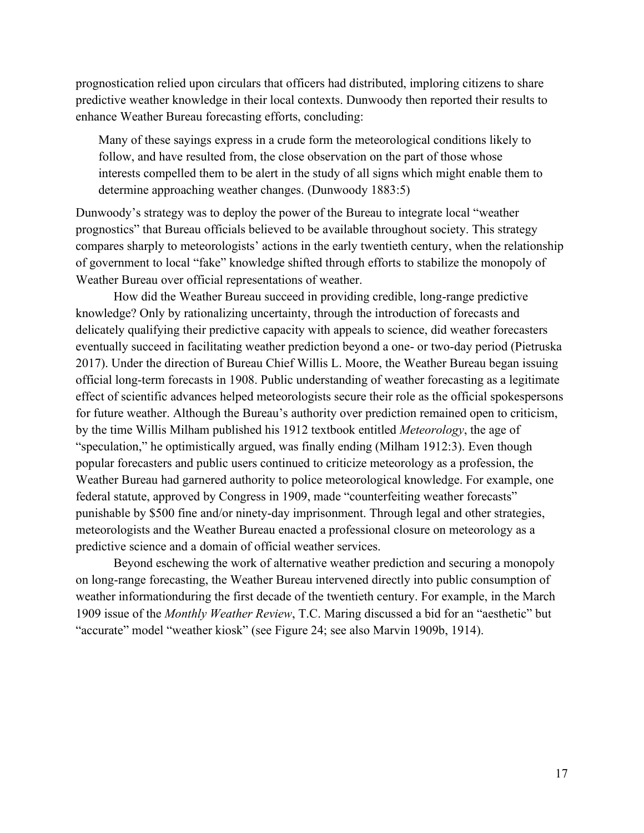prognostication relied upon circulars that officers had distributed, imploring citizens to share predictive weather knowledge in their local contexts. Dunwoody then reported their results to enhance Weather Bureau forecasting efforts, concluding:

Many of these sayings express in a crude form the meteorological conditions likely to follow, and have resulted from, the close observation on the part of those whose interests compelled them to be alert in the study of all signs which might enable them to determine approaching weather changes. (Dunwoody 1883:5)

Dunwoody's strategy was to deploy the power of the Bureau to integrate local "weather prognostics" that Bureau officials believed to be available throughout society. This strategy compares sharply to meteorologists' actions in the early twentieth century, when the relationship of government to local "fake" knowledge shifted through efforts to stabilize the monopoly of Weather Bureau over official representations of weather.

How did the Weather Bureau succeed in providing credible, long-range predictive knowledge? Only by rationalizing uncertainty, through the introduction of forecasts and delicately qualifying their predictive capacity with appeals to science, did weather forecasters eventually succeed in facilitating weather prediction beyond a one- or two-day period (Pietruska 2017). Under the direction of Bureau Chief Willis L. Moore, the Weather Bureau began issuing official long-term forecasts in 1908. Public understanding of weather forecasting as a legitimate effect of scientific advances helped meteorologists secure their role as the official spokespersons for future weather. Although the Bureau's authority over prediction remained open to criticism, by the time Willis Milham published his 1912 textbook entitled *Meteorology*, the age of "speculation," he optimistically argued, was finally ending (Milham 1912:3). Even though popular forecasters and public users continued to criticize meteorology as a profession, the Weather Bureau had garnered authority to police meteorological knowledge. For example, one federal statute, approved by Congress in 1909, made "counterfeiting weather forecasts" punishable by \$500 fine and/or ninety-day imprisonment. Through legal and other strategies, meteorologists and the Weather Bureau enacted a professional closure on meteorology as a predictive science and a domain of official weather services.

Beyond eschewing the work of alternative weather prediction and securing a monopoly on long-range forecasting, the Weather Bureau intervened directly into public consumption of weather informationduring the first decade of the twentieth century. For example, in the March 1909 issue of the *Monthly Weather Review*, T.C. Maring discussed a bid for an "aesthetic" but "accurate" model "weather kiosk" (see Figure 24; see also Marvin 1909b, 1914).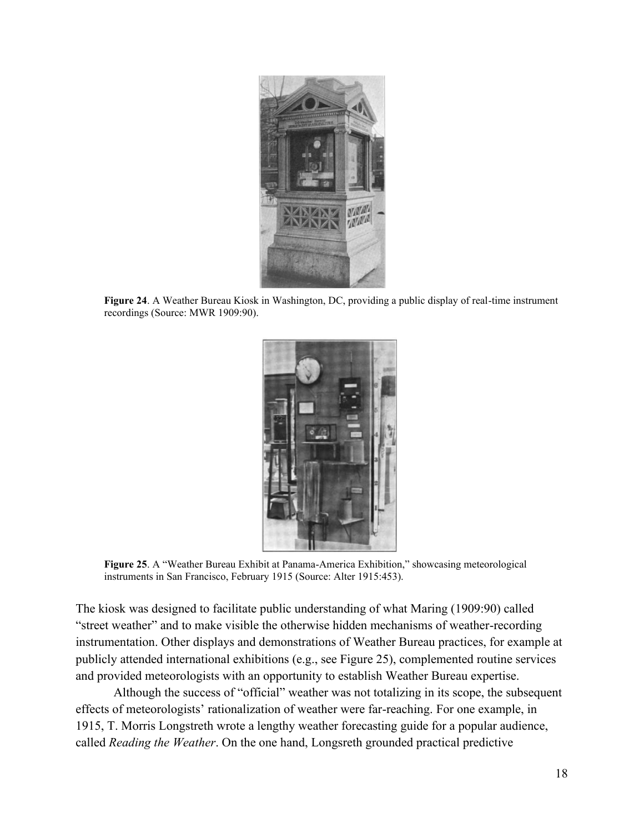

**Figure 24**. A Weather Bureau Kiosk in Washington, DC, providing a public display of real-time instrument recordings (Source: MWR 1909:90).



**Figure 25**. A "Weather Bureau Exhibit at Panama-America Exhibition," showcasing meteorological instruments in San Francisco, February 1915 (Source: Alter 1915:453).

The kiosk was designed to facilitate public understanding of what Maring (1909:90) called "street weather" and to make visible the otherwise hidden mechanisms of weather-recording instrumentation. Other displays and demonstrations of Weather Bureau practices, for example at publicly attended international exhibitions (e.g., see Figure 25), complemented routine services and provided meteorologists with an opportunity to establish Weather Bureau expertise.

Although the success of "official" weather was not totalizing in its scope, the subsequent effects of meteorologists' rationalization of weather were far-reaching. For one example, in 1915, T. Morris Longstreth wrote a lengthy weather forecasting guide for a popular audience, called *Reading the Weather*. On the one hand, Longsreth grounded practical predictive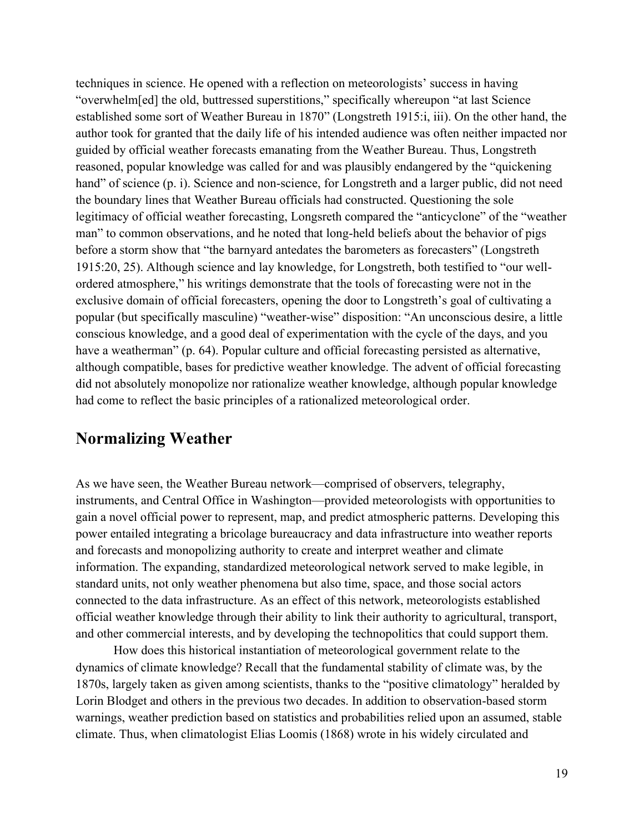techniques in science. He opened with a reflection on meteorologists' success in having "overwhelm[ed] the old, buttressed superstitions," specifically whereupon "at last Science established some sort of Weather Bureau in 1870" (Longstreth 1915:i, iii). On the other hand, the author took for granted that the daily life of his intended audience was often neither impacted nor guided by official weather forecasts emanating from the Weather Bureau. Thus, Longstreth reasoned, popular knowledge was called for and was plausibly endangered by the "quickening hand" of science (p. i). Science and non-science, for Longstreth and a larger public, did not need the boundary lines that Weather Bureau officials had constructed. Questioning the sole legitimacy of official weather forecasting, Longsreth compared the "anticyclone" of the "weather man" to common observations, and he noted that long-held beliefs about the behavior of pigs before a storm show that "the barnyard antedates the barometers as forecasters" (Longstreth 1915:20, 25). Although science and lay knowledge, for Longstreth, both testified to "our wellordered atmosphere," his writings demonstrate that the tools of forecasting were not in the exclusive domain of official forecasters, opening the door to Longstreth's goal of cultivating a popular (but specifically masculine) "weather-wise" disposition: "An unconscious desire, a little conscious knowledge, and a good deal of experimentation with the cycle of the days, and you have a weatherman" (p. 64). Popular culture and official forecasting persisted as alternative, although compatible, bases for predictive weather knowledge. The advent of official forecasting did not absolutely monopolize nor rationalize weather knowledge, although popular knowledge had come to reflect the basic principles of a rationalized meteorological order.

#### **Normalizing Weather**

As we have seen, the Weather Bureau network—comprised of observers, telegraphy, instruments, and Central Office in Washington—provided meteorologists with opportunities to gain a novel official power to represent, map, and predict atmospheric patterns. Developing this power entailed integrating a bricolage bureaucracy and data infrastructure into weather reports and forecasts and monopolizing authority to create and interpret weather and climate information. The expanding, standardized meteorological network served to make legible, in standard units, not only weather phenomena but also time, space, and those social actors connected to the data infrastructure. As an effect of this network, meteorologists established official weather knowledge through their ability to link their authority to agricultural, transport, and other commercial interests, and by developing the technopolitics that could support them.

How does this historical instantiation of meteorological government relate to the dynamics of climate knowledge? Recall that the fundamental stability of climate was, by the 1870s, largely taken as given among scientists, thanks to the "positive climatology" heralded by Lorin Blodget and others in the previous two decades. In addition to observation-based storm warnings, weather prediction based on statistics and probabilities relied upon an assumed, stable climate. Thus, when climatologist Elias Loomis (1868) wrote in his widely circulated and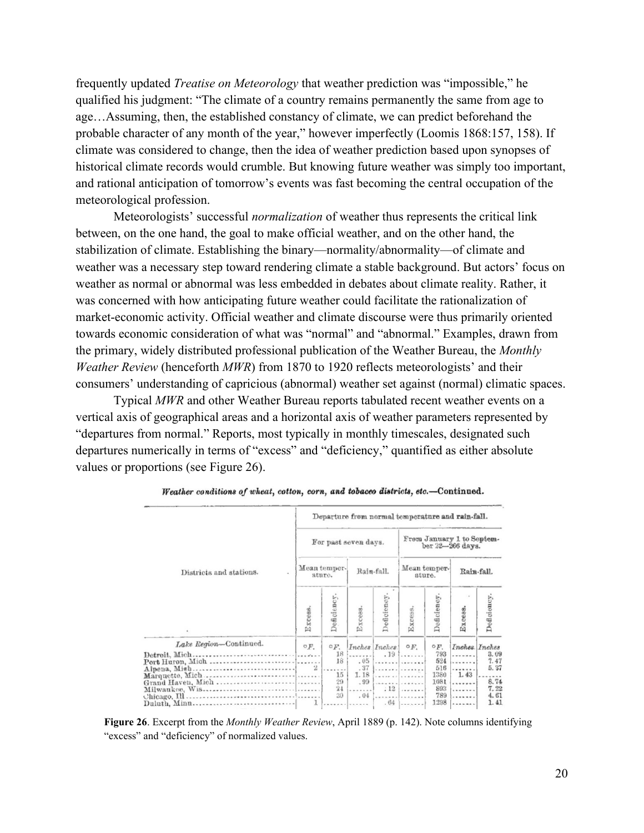frequently updated *Treatise on Meteorology* that weather prediction was "impossible," he qualified his judgment: "The climate of a country remains permanently the same from age to age…Assuming, then, the established constancy of climate, we can predict beforehand the probable character of any month of the year," however imperfectly (Loomis 1868:157, 158). If climate was considered to change, then the idea of weather prediction based upon synopses of historical climate records would crumble. But knowing future weather was simply too important, and rational anticipation of tomorrow's events was fast becoming the central occupation of the meteorological profession.

Meteorologists' successful *normalization* of weather thus represents the critical link between, on the one hand, the goal to make official weather, and on the other hand, the stabilization of climate. Establishing the binary—normality/abnormality—of climate and weather was a necessary step toward rendering climate a stable background. But actors' focus on weather as normal or abnormal was less embedded in debates about climate reality. Rather, it was concerned with how anticipating future weather could facilitate the rationalization of market-economic activity. Official weather and climate discourse were thus primarily oriented towards economic consideration of what was "normal" and "abnormal." Examples, drawn from the primary, widely distributed professional publication of the Weather Bureau, the *Monthly Weather Review* (henceforth *MWR*) from 1870 to 1920 reflects meteorologists' and their consumers' understanding of capricious (abnormal) weather set against (normal) climatic spaces.

Typical *MWR* and other Weather Bureau reports tabulated recent weather events on a vertical axis of geographical areas and a horizontal axis of weather parameters represented by "departures from normal." Reports, most typically in monthly timescales, designated such departures numerically in terms of "excess" and "deficiency," quantified as either absolute values or proportions (see Figure 26).

|                                        | Departure from normal temperature and rain-fall. |                                                 |                                  |               |                                               |                                                                        |                      |                                                                       |  |  |  |
|----------------------------------------|--------------------------------------------------|-------------------------------------------------|----------------------------------|---------------|-----------------------------------------------|------------------------------------------------------------------------|----------------------|-----------------------------------------------------------------------|--|--|--|
|                                        |                                                  |                                                 | For past seven days.             |               | From January 1 to Septem-<br>ber 22-266 days. |                                                                        |                      |                                                                       |  |  |  |
| Districts and stations.                |                                                  | Mean temper-<br>ature.                          |                                  | Rain-fall.    | Mean temper-<br>ature.                        |                                                                        | Rain-fall.           |                                                                       |  |  |  |
|                                        | Excess.                                          | Deficiency.                                     | Excess.                          | Deficiency    | Excess.                                       | Deficiency                                                             | Excess.              | Deficiency                                                            |  |  |  |
| Lake Region-Continued.<br>Alpena, Mish | O(F)                                             | $\circ F$ .<br>18<br>18<br>15<br>29<br>24<br>30 | .05<br>.37<br>1.18<br>.99<br>.04 | Inches Inches | OF.<br>.191<br><br>.<br>.<br>$: 12$<br>$.64$  | $\circ F$ .<br>793<br>524<br>516<br>1380<br>1081<br>893<br>789<br>1298 | <br>1.43<br><br><br> | Inches Inches<br>3.09<br>7.47<br>5.37<br>8.74<br>7.22<br>4.61<br>1.41 |  |  |  |

Weather conditions of wheat, cotton, corn, and tobaceo districts, etc.-Continued.

**Figure 26**. Excerpt from the *Monthly Weather Review*, April 1889 (p. 142). Note columns identifying "excess" and "deficiency" of normalized values.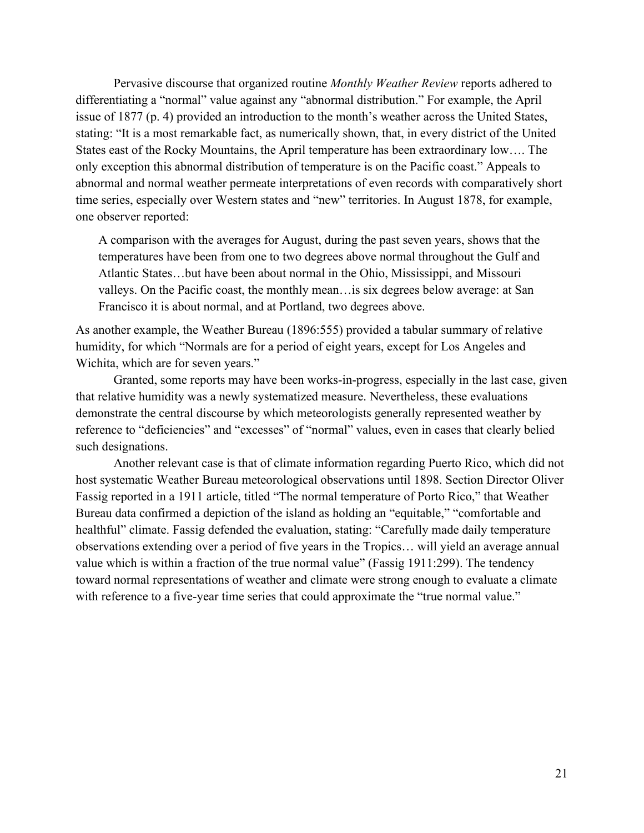Pervasive discourse that organized routine *Monthly Weather Review* reports adhered to differentiating a "normal" value against any "abnormal distribution." For example, the April issue of 1877 (p. 4) provided an introduction to the month's weather across the United States, stating: "It is a most remarkable fact, as numerically shown, that, in every district of the United States east of the Rocky Mountains, the April temperature has been extraordinary low…. The only exception this abnormal distribution of temperature is on the Pacific coast." Appeals to abnormal and normal weather permeate interpretations of even records with comparatively short time series, especially over Western states and "new" territories. In August 1878, for example, one observer reported:

A comparison with the averages for August, during the past seven years, shows that the temperatures have been from one to two degrees above normal throughout the Gulf and Atlantic States…but have been about normal in the Ohio, Mississippi, and Missouri valleys. On the Pacific coast, the monthly mean…is six degrees below average: at San Francisco it is about normal, and at Portland, two degrees above.

As another example, the Weather Bureau (1896:555) provided a tabular summary of relative humidity, for which "Normals are for a period of eight years, except for Los Angeles and Wichita, which are for seven years."

Granted, some reports may have been works-in-progress, especially in the last case, given that relative humidity was a newly systematized measure. Nevertheless, these evaluations demonstrate the central discourse by which meteorologists generally represented weather by reference to "deficiencies" and "excesses" of "normal" values, even in cases that clearly belied such designations.

Another relevant case is that of climate information regarding Puerto Rico, which did not host systematic Weather Bureau meteorological observations until 1898. Section Director Oliver Fassig reported in a 1911 article, titled "The normal temperature of Porto Rico," that Weather Bureau data confirmed a depiction of the island as holding an "equitable," "comfortable and healthful" climate. Fassig defended the evaluation, stating: "Carefully made daily temperature observations extending over a period of five years in the Tropics… will yield an average annual value which is within a fraction of the true normal value" (Fassig 1911:299). The tendency toward normal representations of weather and climate were strong enough to evaluate a climate with reference to a five-year time series that could approximate the "true normal value."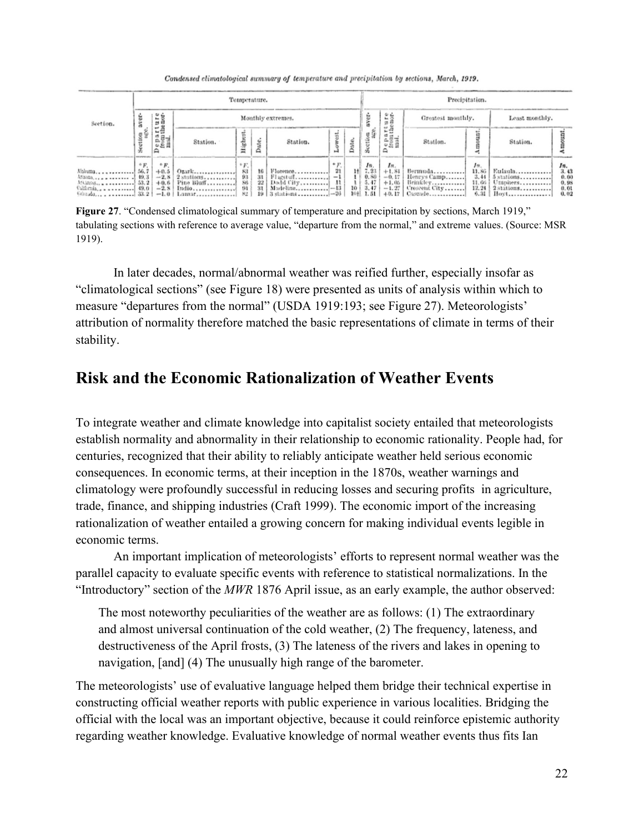Condensed climatological summary of temperature and precipitation by sections, March, 1919.

|                | Temperature.         |                                                      |                                     |                                   |                                                     |                                                    | Precipitation. |                       |                                                                                            |                                      |                                                                                |                                          |                                                                              |                                                  |
|----------------|----------------------|------------------------------------------------------|-------------------------------------|-----------------------------------|-----------------------------------------------------|----------------------------------------------------|----------------|-----------------------|--------------------------------------------------------------------------------------------|--------------------------------------|--------------------------------------------------------------------------------|------------------------------------------|------------------------------------------------------------------------------|--------------------------------------------------|
| Section.<br>gğ | ure                  | Monthly extremes.                                    |                                     |                                   |                                                     |                                                    |                | $\omega_L$<br>r.<br>s | Greatest monthly.                                                                          |                                      | Least monthly.                                                                 |                                          |                                                                              |                                                  |
|                |                      | e part<br>from the<br>mail                           | Station.                            | iligh                             | Date.                                               | Station.                                           |                |                       |                                                                                            | epa<br>Ω                             | Station.                                                                       |                                          | Station.                                                                     |                                                  |
| Ahbuma         | $^{\circ}F.$<br>36.7 | $^{\circ}F.$<br>$+0.5$<br>$-2,8$<br>$^{+0.6}_{-2.8}$ | $2$ stations<br>Pine Bluff<br>Indio | $\frac{5}{83}$<br>$\frac{93}{80}$ | $\begin{array}{c} 16 \\ 31 \\ 22 \end{array}$<br>31 | Florence<br>$Flugstuff$   $-1$<br>3 stations  - 26 | $\frac{P}{21}$ |                       | $\begin{array}{c} 14 \\ 14 \\ 1 \\ 1 \\ 0.80 \\ 1 \\ 10 \\ 10 \\ 10 \\ \vdots \end{array}$ | In.<br>$+1.84$<br>$-0.17$<br>$+1.05$ | Bermuda<br>Henrys Camp<br>Brinkley<br>$-1.27$ Croscent City<br>$+0.17$ Cascade | Im.<br>11.86<br>3, 44<br>11, 66<br>12.21 | Eulaula<br>$5$ stations<br>Umphers<br>$2$ stations<br>$6.31$ [ $\text{How1}$ | $\frac{5}{3.43}$<br>0.10<br>0.98<br>0.01<br>0.02 |

**Figure 27.** "Condensed climatological summary of temperature and precipitation by sections, March 1919," tabulating sections with reference to average value, "departure from the normal," and extreme values. (Source: MSR 1919).

In later decades, normal/abnormal weather was reified further, especially insofar as "climatological sections" (see Figure 18) were presented as units of analysis within which to measure "departures from the normal" (USDA 1919:193; see Figure 27). Meteorologists' attribution of normality therefore matched the basic representations of climate in terms of their stability.

### **Risk and the Economic Rationalization of Weather Events**

To integrate weather and climate knowledge into capitalist society entailed that meteorologists establish normality and abnormality in their relationship to economic rationality. People had, for centuries, recognized that their ability to reliably anticipate weather held serious economic consequences. In economic terms, at their inception in the 1870s, weather warnings and climatology were profoundly successful in reducing losses and securing profits in agriculture, trade, finance, and shipping industries (Craft 1999). The economic import of the increasing rationalization of weather entailed a growing concern for making individual events legible in economic terms.

An important implication of meteorologists' efforts to represent normal weather was the parallel capacity to evaluate specific events with reference to statistical normalizations. In the "Introductory" section of the *MWR* 1876 April issue, as an early example, the author observed:

The most noteworthy peculiarities of the weather are as follows: (1) The extraordinary and almost universal continuation of the cold weather, (2) The frequency, lateness, and destructiveness of the April frosts, (3) The lateness of the rivers and lakes in opening to navigation, [and] (4) The unusually high range of the barometer.

The meteorologists' use of evaluative language helped them bridge their technical expertise in constructing official weather reports with public experience in various localities. Bridging the official with the local was an important objective, because it could reinforce epistemic authority regarding weather knowledge. Evaluative knowledge of normal weather events thus fits Ian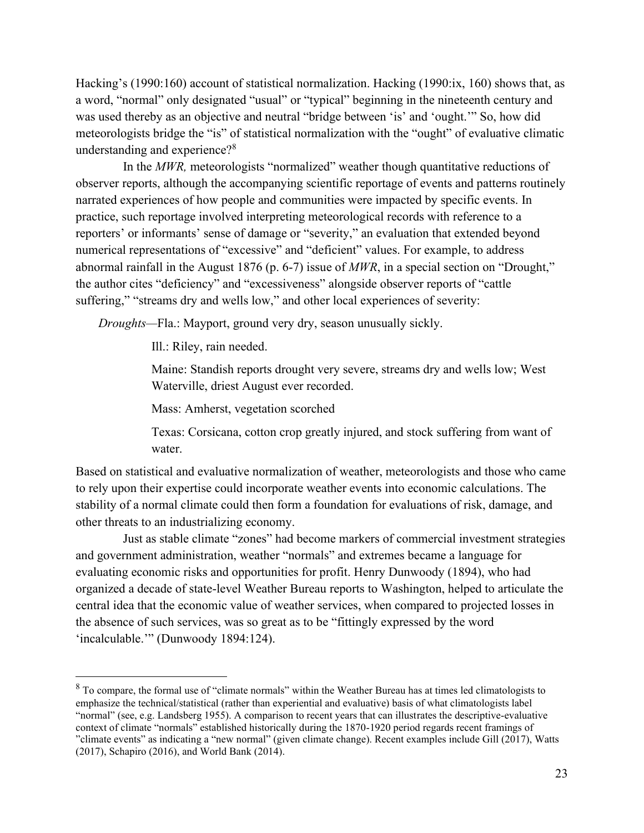Hacking's (1990:160) account of statistical normalization. Hacking (1990:ix, 160) shows that, as a word, "normal" only designated "usual" or "typical" beginning in the nineteenth century and was used thereby as an objective and neutral "bridge between 'is' and 'ought.'" So, how did meteorologists bridge the "is" of statistical normalization with the "ought" of evaluative climatic understanding and experience?<sup>8</sup>

In the *MWR,* meteorologists "normalized" weather though quantitative reductions of observer reports, although the accompanying scientific reportage of events and patterns routinely narrated experiences of how people and communities were impacted by specific events. In practice, such reportage involved interpreting meteorological records with reference to a reporters' or informants' sense of damage or "severity," an evaluation that extended beyond numerical representations of "excessive" and "deficient" values. For example, to address abnormal rainfall in the August 1876 (p. 6-7) issue of *MWR*, in a special section on "Drought," the author cites "deficiency" and "excessiveness" alongside observer reports of "cattle suffering," "streams dry and wells low," and other local experiences of severity:

*Droughts—*Fla.: Mayport, ground very dry, season unusually sickly.

Ill.: Riley, rain needed.

Maine: Standish reports drought very severe, streams dry and wells low; West Waterville, driest August ever recorded.

Mass: Amherst, vegetation scorched

Texas: Corsicana, cotton crop greatly injured, and stock suffering from want of water.

Based on statistical and evaluative normalization of weather, meteorologists and those who came to rely upon their expertise could incorporate weather events into economic calculations. The stability of a normal climate could then form a foundation for evaluations of risk, damage, and other threats to an industrializing economy.

Just as stable climate "zones" had become markers of commercial investment strategies and government administration, weather "normals" and extremes became a language for evaluating economic risks and opportunities for profit. Henry Dunwoody (1894), who had organized a decade of state-level Weather Bureau reports to Washington, helped to articulate the central idea that the economic value of weather services, when compared to projected losses in the absence of such services, was so great as to be "fittingly expressed by the word 'incalculable.'" (Dunwoody 1894:124).

<sup>&</sup>lt;sup>8</sup> To compare, the formal use of "climate normals" within the Weather Bureau has at times led climatologists to emphasize the technical/statistical (rather than experiential and evaluative) basis of what climatologists label "normal" (see, e.g. Landsberg 1955). A comparison to recent years that can illustrates the descriptive-evaluative context of climate "normals" established historically during the 1870-1920 period regards recent framings of "climate events" as indicating a "new normal" (given climate change). Recent examples include Gill (2017), Watts (2017), Schapiro (2016), and World Bank (2014).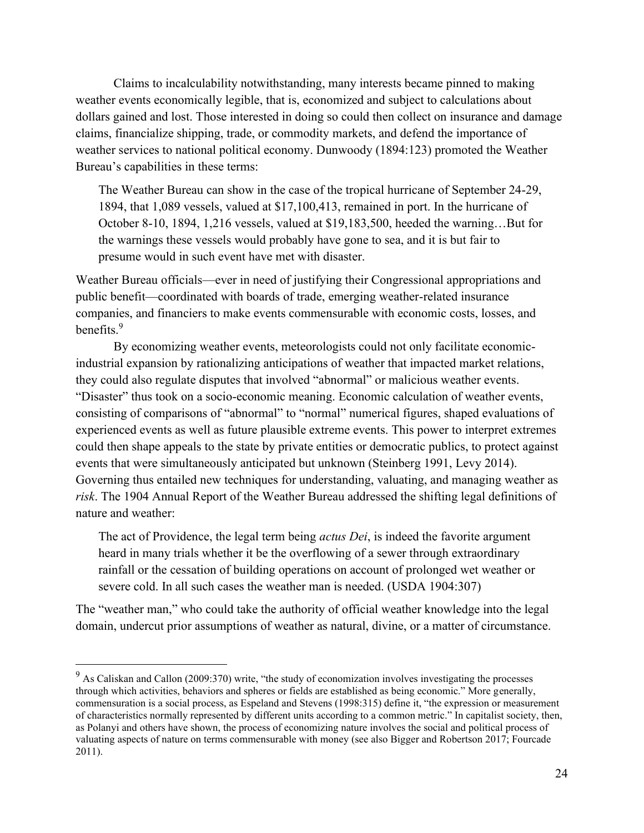Claims to incalculability notwithstanding, many interests became pinned to making weather events economically legible, that is, economized and subject to calculations about dollars gained and lost. Those interested in doing so could then collect on insurance and damage claims, financialize shipping, trade, or commodity markets, and defend the importance of weather services to national political economy. Dunwoody (1894:123) promoted the Weather Bureau's capabilities in these terms:

The Weather Bureau can show in the case of the tropical hurricane of September 24-29, 1894, that 1,089 vessels, valued at \$17,100,413, remained in port. In the hurricane of October 8-10, 1894, 1,216 vessels, valued at \$19,183,500, heeded the warning…But for the warnings these vessels would probably have gone to sea, and it is but fair to presume would in such event have met with disaster.

Weather Bureau officials—ever in need of justifying their Congressional appropriations and public benefit—coordinated with boards of trade, emerging weather-related insurance companies, and financiers to make events commensurable with economic costs, losses, and benefits.<sup>9</sup>

By economizing weather events, meteorologists could not only facilitate economicindustrial expansion by rationalizing anticipations of weather that impacted market relations, they could also regulate disputes that involved "abnormal" or malicious weather events. "Disaster" thus took on a socio-economic meaning. Economic calculation of weather events, consisting of comparisons of "abnormal" to "normal" numerical figures, shaped evaluations of experienced events as well as future plausible extreme events. This power to interpret extremes could then shape appeals to the state by private entities or democratic publics, to protect against events that were simultaneously anticipated but unknown (Steinberg 1991, Levy 2014). Governing thus entailed new techniques for understanding, valuating, and managing weather as *risk*. The 1904 Annual Report of the Weather Bureau addressed the shifting legal definitions of nature and weather:

The act of Providence, the legal term being *actus Dei*, is indeed the favorite argument heard in many trials whether it be the overflowing of a sewer through extraordinary rainfall or the cessation of building operations on account of prolonged wet weather or severe cold. In all such cases the weather man is needed. (USDA 1904:307)

The "weather man," who could take the authority of official weather knowledge into the legal domain, undercut prior assumptions of weather as natural, divine, or a matter of circumstance.

<sup>&</sup>lt;sup>9</sup> As Caliskan and Callon (2009:370) write, "the study of economization involves investigating the processes through which activities, behaviors and spheres or fields are established as being economic." More generally, commensuration is a social process, as Espeland and Stevens (1998:315) define it, "the expression or measurement of characteristics normally represented by different units according to a common metric." In capitalist society, then, as Polanyi and others have shown, the process of economizing nature involves the social and political process of valuating aspects of nature on terms commensurable with money (see also Bigger and Robertson 2017; Fourcade 2011).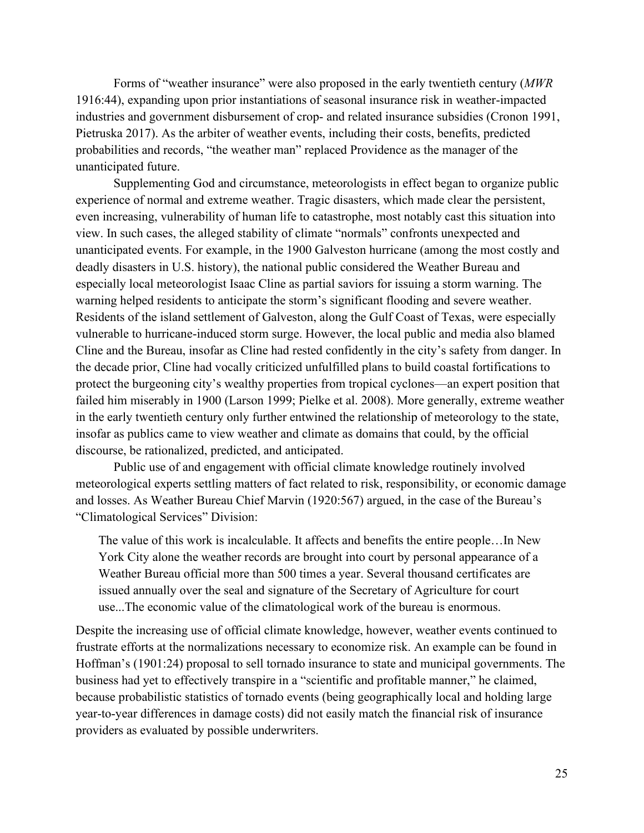Forms of "weather insurance" were also proposed in the early twentieth century (*MWR*  1916:44), expanding upon prior instantiations of seasonal insurance risk in weather-impacted industries and government disbursement of crop- and related insurance subsidies (Cronon 1991, Pietruska 2017). As the arbiter of weather events, including their costs, benefits, predicted probabilities and records, "the weather man" replaced Providence as the manager of the unanticipated future.

Supplementing God and circumstance, meteorologists in effect began to organize public experience of normal and extreme weather. Tragic disasters, which made clear the persistent, even increasing, vulnerability of human life to catastrophe, most notably cast this situation into view. In such cases, the alleged stability of climate "normals" confronts unexpected and unanticipated events. For example, in the 1900 Galveston hurricane (among the most costly and deadly disasters in U.S. history), the national public considered the Weather Bureau and especially local meteorologist Isaac Cline as partial saviors for issuing a storm warning. The warning helped residents to anticipate the storm's significant flooding and severe weather. Residents of the island settlement of Galveston, along the Gulf Coast of Texas, were especially vulnerable to hurricane-induced storm surge. However, the local public and media also blamed Cline and the Bureau, insofar as Cline had rested confidently in the city's safety from danger. In the decade prior, Cline had vocally criticized unfulfilled plans to build coastal fortifications to protect the burgeoning city's wealthy properties from tropical cyclones—an expert position that failed him miserably in 1900 (Larson 1999; Pielke et al. 2008). More generally, extreme weather in the early twentieth century only further entwined the relationship of meteorology to the state, insofar as publics came to view weather and climate as domains that could, by the official discourse, be rationalized, predicted, and anticipated.

Public use of and engagement with official climate knowledge routinely involved meteorological experts settling matters of fact related to risk, responsibility, or economic damage and losses. As Weather Bureau Chief Marvin (1920:567) argued, in the case of the Bureau's "Climatological Services" Division:

The value of this work is incalculable. It affects and benefits the entire people…In New York City alone the weather records are brought into court by personal appearance of a Weather Bureau official more than 500 times a year. Several thousand certificates are issued annually over the seal and signature of the Secretary of Agriculture for court use...The economic value of the climatological work of the bureau is enormous.

Despite the increasing use of official climate knowledge, however, weather events continued to frustrate efforts at the normalizations necessary to economize risk. An example can be found in Hoffman's (1901:24) proposal to sell tornado insurance to state and municipal governments. The business had yet to effectively transpire in a "scientific and profitable manner," he claimed, because probabilistic statistics of tornado events (being geographically local and holding large year-to-year differences in damage costs) did not easily match the financial risk of insurance providers as evaluated by possible underwriters.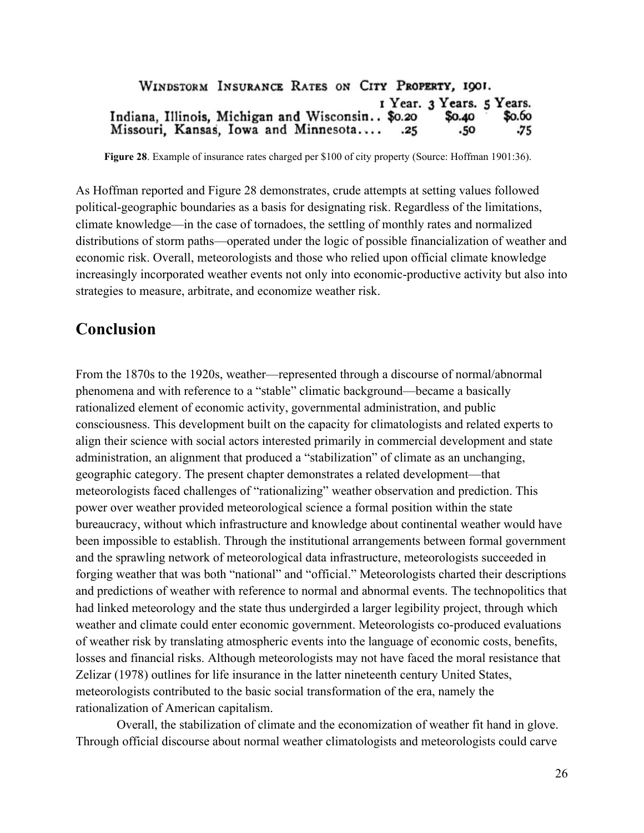#### WINDSTORM INSURANCE RATES ON CITY PROPERTY, 1901. I Year. 3 Years. 5 Years. Indiana, Illinois, Michigan and Wisconsin.. \$0.20 \$0.60 \$0.40 Missouri, Kansas, Iowa and Minnesota.... .50 -75  $.25$

**Figure 28**. Example of insurance rates charged per \$100 of city property (Source: Hoffman 1901:36).

As Hoffman reported and Figure 28 demonstrates, crude attempts at setting values followed political-geographic boundaries as a basis for designating risk. Regardless of the limitations, climate knowledge—in the case of tornadoes, the settling of monthly rates and normalized distributions of storm paths—operated under the logic of possible financialization of weather and economic risk. Overall, meteorologists and those who relied upon official climate knowledge increasingly incorporated weather events not only into economic-productive activity but also into strategies to measure, arbitrate, and economize weather risk.

#### **Conclusion**

From the 1870s to the 1920s, weather—represented through a discourse of normal/abnormal phenomena and with reference to a "stable" climatic background—became a basically rationalized element of economic activity, governmental administration, and public consciousness. This development built on the capacity for climatologists and related experts to align their science with social actors interested primarily in commercial development and state administration, an alignment that produced a "stabilization" of climate as an unchanging, geographic category. The present chapter demonstrates a related development—that meteorologists faced challenges of "rationalizing" weather observation and prediction. This power over weather provided meteorological science a formal position within the state bureaucracy, without which infrastructure and knowledge about continental weather would have been impossible to establish. Through the institutional arrangements between formal government and the sprawling network of meteorological data infrastructure, meteorologists succeeded in forging weather that was both "national" and "official." Meteorologists charted their descriptions and predictions of weather with reference to normal and abnormal events. The technopolitics that had linked meteorology and the state thus undergirded a larger legibility project, through which weather and climate could enter economic government. Meteorologists co-produced evaluations of weather risk by translating atmospheric events into the language of economic costs, benefits, losses and financial risks. Although meteorologists may not have faced the moral resistance that Zelizar (1978) outlines for life insurance in the latter nineteenth century United States, meteorologists contributed to the basic social transformation of the era, namely the rationalization of American capitalism.

Overall, the stabilization of climate and the economization of weather fit hand in glove. Through official discourse about normal weather climatologists and meteorologists could carve